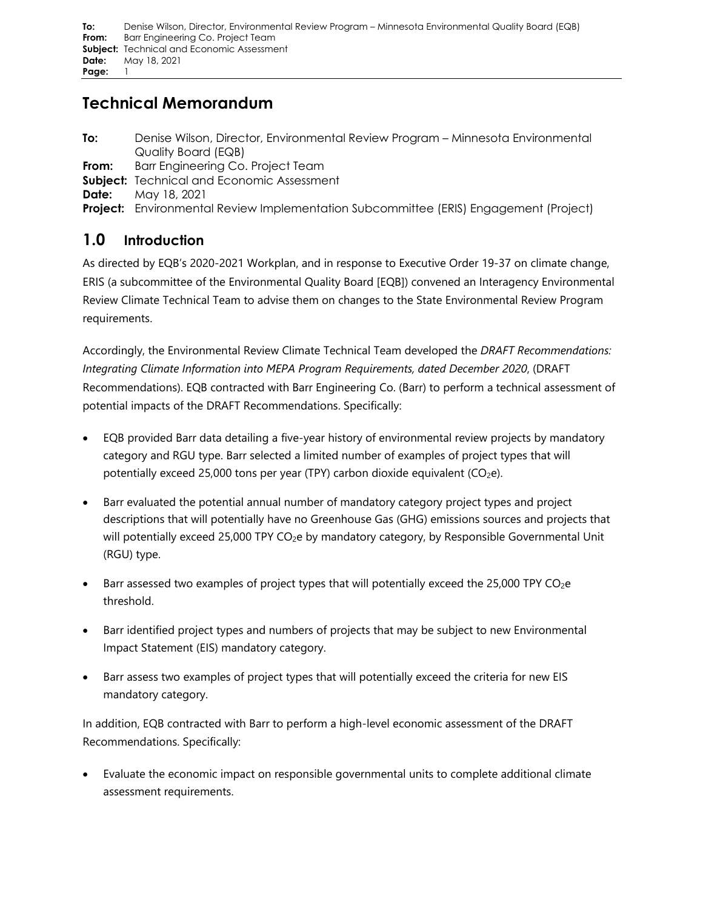# **Technical Memorandum**

- <span id="page-0-0"></span>**To:** Denise Wilson, Director, Environmental Review Program – Minnesota Environmental Quality Board (EQB)
- <span id="page-0-1"></span>**From:** Barr Engineering Co. Project Team
- <span id="page-0-2"></span>**Subject:** Technical and Economic Assessment
- <span id="page-0-3"></span>**Date:** May 18, 2021

**Project:** Environmental Review Implementation Subcommittee (ERIS) Engagement (Project)

# **1.0 Introduction**

As directed by EQB's 2020-2021 Workplan, and in response to Executive Order 19-37 on climate change, ERIS (a subcommittee of the Environmental Quality Board [EQB]) convened an Interagency Environmental Review Climate Technical Team to advise them on changes to the State Environmental Review Program requirements.

Accordingly, the Environmental Review Climate Technical Team developed the *DRAFT Recommendations: Integrating Climate Information into MEPA Program Requirements, dated December 2020*, (DRAFT Recommendations). EQB contracted with Barr Engineering Co. (Barr) to perform a technical assessment of potential impacts of the DRAFT Recommendations. Specifically:

- EQB provided Barr data detailing a five-year history of environmental review projects by mandatory category and RGU type. Barr selected a limited number of examples of project types that will potentially exceed 25,000 tons per year (TPY) carbon dioxide equivalent (CO<sub>2</sub>e).
- Barr evaluated the potential annual number of mandatory category project types and project descriptions that will potentially have no Greenhouse Gas (GHG) emissions sources and projects that will potentially exceed 25,000 TPY CO<sub>2</sub>e by mandatory category, by Responsible Governmental Unit (RGU) type.
- Barr assessed two examples of project types that will potentially exceed the 25,000 TPY CO<sub>2</sub>e threshold.
- Barr identified project types and numbers of projects that may be subject to new Environmental Impact Statement (EIS) mandatory category.
- Barr assess two examples of project types that will potentially exceed the criteria for new EIS mandatory category.

In addition, EQB contracted with Barr to perform a high-level economic assessment of the DRAFT Recommendations. Specifically:

• Evaluate the economic impact on responsible governmental units to complete additional climate assessment requirements.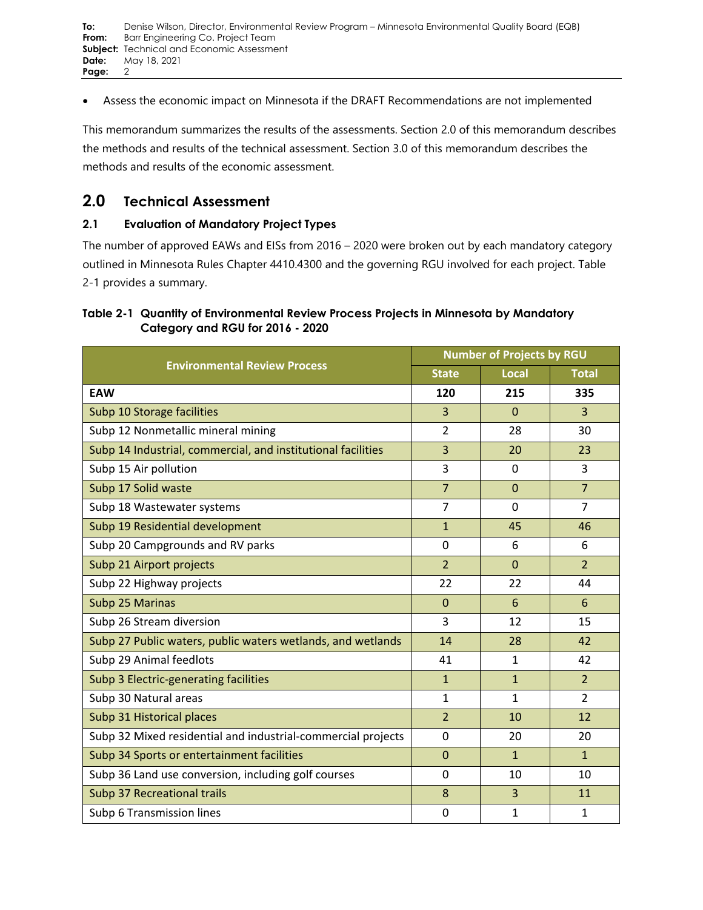• Assess the economic impact on Minnesota if the DRAFT Recommendations are not implemented

This memorandum summarizes the results of the assessments. Section 2.0 of this memorandum describes the methods and results of the technical assessment. Section 3.0 of this memorandum describes the methods and results of the economic assessment.

# **2.0 Technical Assessment**

## **2.1 Evaluation of Mandatory Project Types**

The number of approved EAWs and EISs from 2016 – 2020 were broken out by each mandatory category outlined in Minnesota Rules Chapter 4410.4300 and the governing RGU involved for each project. [Table](#page-1-0)  [2-1](#page-1-0) provides a summary.

## <span id="page-1-0"></span>**Table 2-1 Quantity of Environmental Review Process Projects in Minnesota by Mandatory Category and RGU for 2016 - 2020**

|                                                              | <b>Number of Projects by RGU</b> |                |                |  |
|--------------------------------------------------------------|----------------------------------|----------------|----------------|--|
| <b>Environmental Review Process</b>                          | <b>State</b>                     | Local          | <b>Total</b>   |  |
| <b>EAW</b>                                                   | 120                              | 215            | 335            |  |
| Subp 10 Storage facilities                                   | 3                                | $\Omega$       | $\overline{3}$ |  |
| Subp 12 Nonmetallic mineral mining                           | $\overline{2}$                   | 28             | 30             |  |
| Subp 14 Industrial, commercial, and institutional facilities | 3                                | 20             | 23             |  |
| Subp 15 Air pollution                                        | 3                                | 0              | 3              |  |
| Subp 17 Solid waste                                          | $\overline{7}$                   | $\Omega$       | $\overline{7}$ |  |
| Subp 18 Wastewater systems                                   | $\overline{7}$                   | $\mathbf 0$    | $\overline{7}$ |  |
| Subp 19 Residential development                              | $\mathbf{1}$                     | 45             | 46             |  |
| Subp 20 Campgrounds and RV parks                             | 0                                | 6              | 6              |  |
| Subp 21 Airport projects                                     | $\overline{2}$                   | $\overline{0}$ | $\overline{2}$ |  |
| Subp 22 Highway projects                                     | 22                               | 22             | 44             |  |
| Subp 25 Marinas                                              | $\mathbf{0}$                     | 6              | 6              |  |
| Subp 26 Stream diversion                                     | 3                                | 12             | 15             |  |
| Subp 27 Public waters, public waters wetlands, and wetlands  | 14                               | 28             | 42             |  |
| Subp 29 Animal feedlots                                      | 41                               | $\mathbf{1}$   | 42             |  |
| Subp 3 Electric-generating facilities                        | $\mathbf{1}$                     | $\mathbf{1}$   | $\overline{2}$ |  |
| Subp 30 Natural areas                                        | $\mathbf{1}$                     | $\mathbf{1}$   | $\overline{2}$ |  |
| Subp 31 Historical places                                    | $\overline{2}$                   | 10             | 12             |  |
| Subp 32 Mixed residential and industrial-commercial projects | 0                                | 20             | 20             |  |
| Subp 34 Sports or entertainment facilities                   | $\mathbf{0}$                     | $\mathbf{1}$   | $\mathbf{1}$   |  |
| Subp 36 Land use conversion, including golf courses          | 0                                | 10             | 10             |  |
| <b>Subp 37 Recreational trails</b>                           | 8                                | $\overline{3}$ | 11             |  |
| Subp 6 Transmission lines                                    | $\mathbf 0$                      | 1              | $\mathbf{1}$   |  |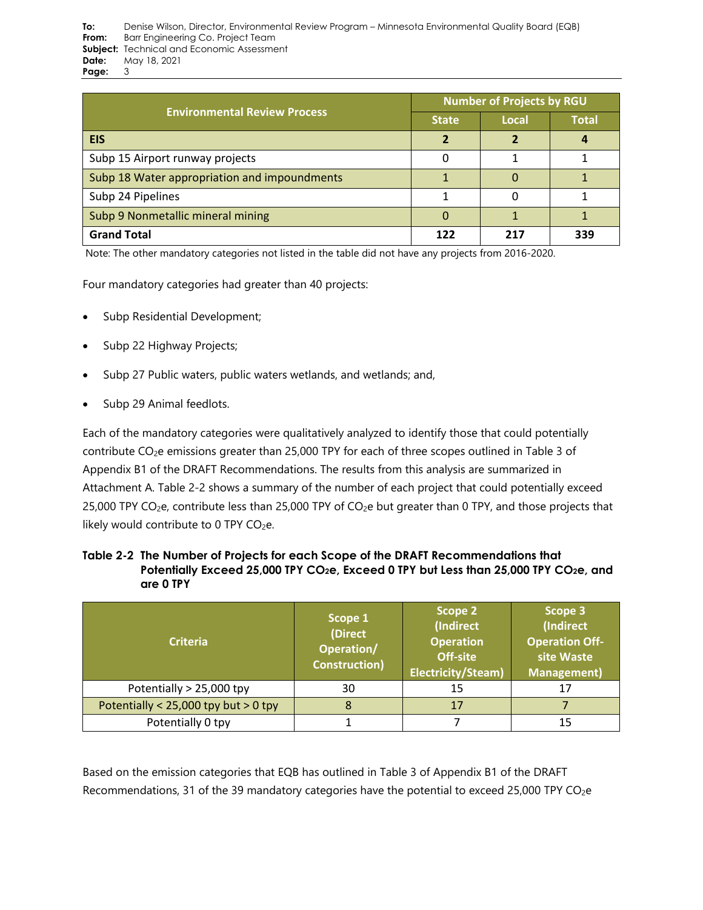|                                              | <b>Number of Projects by RGU</b> |       |              |  |
|----------------------------------------------|----------------------------------|-------|--------------|--|
| <b>Environmental Review Process</b>          | <b>State</b>                     | Local | <b>Total</b> |  |
| <b>EIS</b>                                   |                                  |       |              |  |
| Subp 15 Airport runway projects              | 0                                |       |              |  |
| Subp 18 Water appropriation and impoundments |                                  |       |              |  |
| Subp 24 Pipelines                            |                                  |       |              |  |
| Subp 9 Nonmetallic mineral mining            | 0                                |       |              |  |
| <b>Grand Total</b>                           | 122                              | 217   | 339          |  |

Note: The other mandatory categories not listed in the table did not have any projects from 2016-2020.

Four mandatory categories had greater than 40 projects:

- Subp Residential Development;
- Subp 22 Highway Projects;
- Subp 27 Public waters, public waters wetlands, and wetlands; and,
- Subp 29 Animal feedlots.

Each of the mandatory categories were qualitatively analyzed to identify those that could potentially contribute CO<sub>2</sub>e emissions greater than 25,000 TPY for each of three scopes outlined in Table 3 of Appendix B1 of the DRAFT Recommendations. The results from this analysis are summarized in Attachment A. [Table 2-2](#page-2-0) shows a summary of the number of each project that could potentially exceed 25,000 TPY CO<sub>2</sub>e, contribute less than 25,000 TPY of CO<sub>2</sub>e but greater than 0 TPY, and those projects that likely would contribute to  $0$  TPY CO<sub>2</sub>e.

<span id="page-2-0"></span>

| Table 2-2 The Number of Projects for each Scope of the DRAFT Recommendations that                             |
|---------------------------------------------------------------------------------------------------------------|
| Potentially Exceed 25,000 TPY CO <sub>2</sub> e, Exceed 0 TPY but Less than 25,000 TPY CO <sub>2</sub> e, and |
| are 0 TPY                                                                                                     |

| <b>Criteria</b>                        | Scope 1<br>(Direct<br>Operation/<br><b>Construction)</b> |    | Scope 3<br>(Indirect<br><b>Operation Off-</b><br>site Waste<br><b>Management</b> ) |
|----------------------------------------|----------------------------------------------------------|----|------------------------------------------------------------------------------------|
| Potentially > 25,000 tpy               | 30                                                       | 15 |                                                                                    |
| Potentially < $25,000$ tpy but > 0 tpy |                                                          | 17 |                                                                                    |
| Potentially 0 tpy                      |                                                          |    |                                                                                    |

Based on the emission categories that EQB has outlined in Table 3 of Appendix B1 of the DRAFT Recommendations, 31 of the 39 mandatory categories have the potential to exceed 25,000 TPY CO<sub>2</sub>e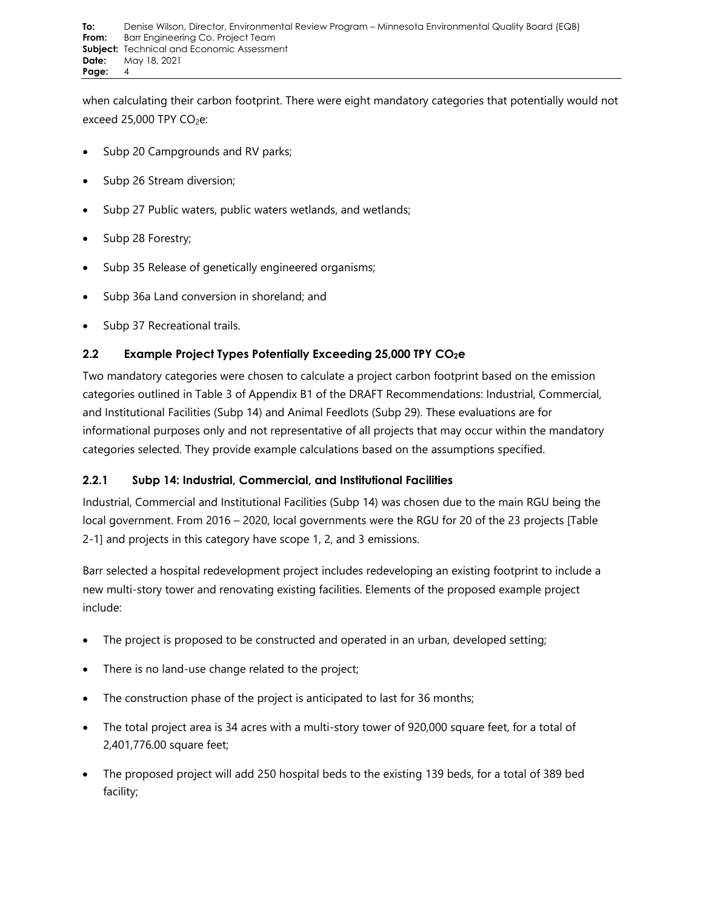when calculating their carbon footprint. There were eight mandatory categories that potentially would not exceed 25,000 TPY  $CO<sub>2</sub>e$ :

- Subp 20 Campgrounds and RV parks;
- Subp 26 Stream diversion;
- Subp 27 Public waters, public waters wetlands, and wetlands;
- Subp 28 Forestry;
- Subp 35 Release of genetically engineered organisms;
- Subp 36a Land conversion in shoreland; and
- Subp 37 Recreational trails.

# **2.2 Example Project Types Potentially Exceeding 25,000 TPY CO2e**

Two mandatory categories were chosen to calculate a project carbon footprint based on the emission categories outlined in Table 3 of Appendix B1 of the DRAFT Recommendations: Industrial, Commercial, and Institutional Facilities (Subp 14) and Animal Feedlots (Subp 29). These evaluations are for informational purposes only and not representative of all projects that may occur within the mandatory categories selected. They provide example calculations based on the assumptions specified.

# **2.2.1 Subp 14: Industrial, Commercial, and Institutional Facilities**

Industrial, Commercial and Institutional Facilities (Subp 14) was chosen due to the main RGU being the local government. From 2016 – 2020, local governments were the RGU for 20 of the 23 projects [\[Table](#page-1-0)  [2-1\]](#page-1-0) and projects in this category have scope 1, 2, and 3 emissions.

Barr selected a hospital redevelopment project includes redeveloping an existing footprint to include a new multi-story tower and renovating existing facilities. Elements of the proposed example project include:

- The project is proposed to be constructed and operated in an urban, developed setting;
- There is no land-use change related to the project;
- The construction phase of the project is anticipated to last for 36 months;
- The total project area is 34 acres with a multi-story tower of 920,000 square feet, for a total of 2,401,776.00 square feet;
- The proposed project will add 250 hospital beds to the existing 139 beds, for a total of 389 bed facility;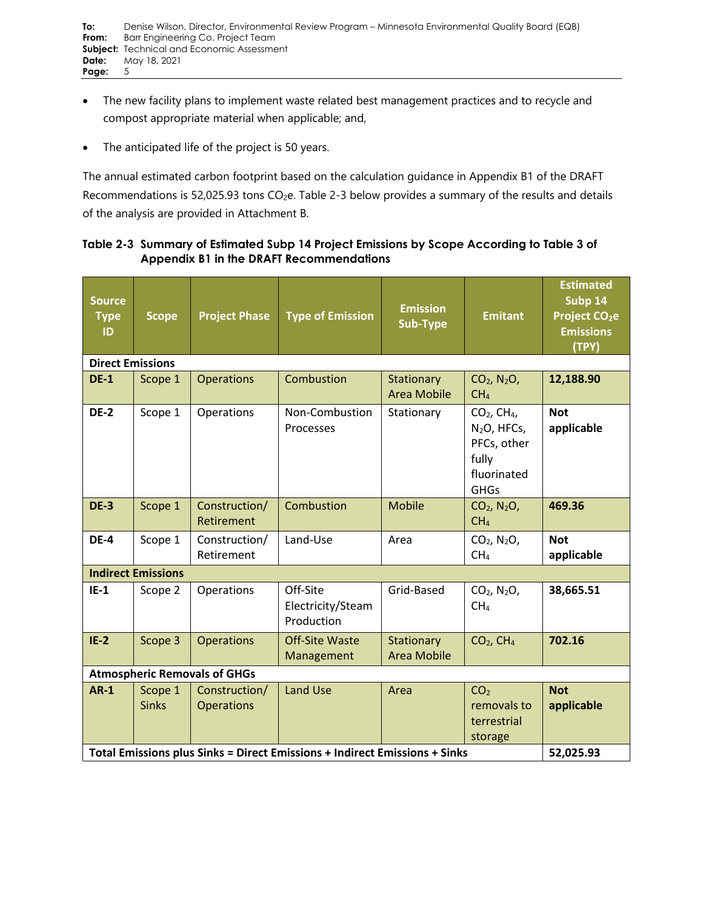- The new facility plans to implement waste related best management practices and to recycle and compost appropriate material when applicable; and,
- The anticipated life of the project is 50 years.

The annual estimated carbon footprint based on the calculation guidance in Appendix B1 of the DRAFT Recommendations is 52,025.93 tons  $CO<sub>2</sub>e$ . [Table 2-3](#page-4-0) below provides a summary of the results and details of the analysis are provided in Attachment B.

## <span id="page-4-0"></span>**Table 2-3 Summary of Estimated Subp 14 Project Emissions by Scope According to Table 3 of Appendix B1 in the DRAFT Recommendations**

| <b>Source</b><br><b>Type</b><br>ID                                         | <b>Scope</b>              | <b>Project Phase</b>               | <b>Type of Emission</b>                     | <b>Emission</b><br><b>Sub-Type</b> | <b>Emitant</b>                                                                                   | <b>Estimated</b><br>Subp 14<br>Project CO <sub>2</sub> e<br><b>Emissions</b><br>(TPY) |
|----------------------------------------------------------------------------|---------------------------|------------------------------------|---------------------------------------------|------------------------------------|--------------------------------------------------------------------------------------------------|---------------------------------------------------------------------------------------|
| <b>Direct Emissions</b>                                                    |                           |                                    |                                             |                                    |                                                                                                  |                                                                                       |
| <b>DE-1</b>                                                                | Scope 1                   | <b>Operations</b>                  | Combustion                                  | Stationary<br><b>Area Mobile</b>   | $CO2$ , N <sub>2</sub> O <sub>,</sub><br>CH <sub>4</sub>                                         | 12,188.90                                                                             |
| <b>DE-2</b>                                                                | Scope 1                   | Operations                         | Non-Combustion<br>Processes                 | Stationary                         | $CO2$ , CH <sub>4</sub> ,<br>$N2O$ , HFCs,<br>PFCs, other<br>fully<br>fluorinated<br><b>GHGs</b> | <b>Not</b><br>applicable                                                              |
| <b>DE-3</b>                                                                | Scope 1                   | Construction/<br>Retirement        | Combustion                                  | <b>Mobile</b>                      | $CO2$ , N <sub>2</sub> O,<br>CH <sub>4</sub>                                                     | 469.36                                                                                |
| <b>DE-4</b>                                                                | Scope 1                   | Construction/<br>Retirement        | Land-Use                                    | Area                               | $CO2$ , N <sub>2</sub> O <sub>,</sub><br>CH <sub>4</sub>                                         | <b>Not</b><br>applicable                                                              |
|                                                                            | <b>Indirect Emissions</b> |                                    |                                             |                                    |                                                                                                  |                                                                                       |
| $IE-1$                                                                     | Scope 2                   | Operations                         | Off-Site<br>Electricity/Steam<br>Production | Grid-Based                         | $CO2$ , N <sub>2</sub> O,<br>CH <sub>4</sub>                                                     | 38,665.51                                                                             |
| $IE-2$                                                                     | Scope 3                   | <b>Operations</b>                  | <b>Off-Site Waste</b><br>Management         | Stationary<br><b>Area Mobile</b>   | $CO2$ , CH <sub>4</sub>                                                                          | 702.16                                                                                |
| <b>Atmospheric Removals of GHGs</b>                                        |                           |                                    |                                             |                                    |                                                                                                  |                                                                                       |
| <b>AR-1</b>                                                                | Scope 1<br><b>Sinks</b>   | Construction/<br><b>Operations</b> | <b>Land Use</b>                             | Area                               | CO <sub>2</sub><br>removals to<br>terrestrial<br>storage                                         | <b>Not</b><br>applicable                                                              |
| Total Emissions plus Sinks = Direct Emissions + Indirect Emissions + Sinks |                           |                                    |                                             |                                    | 52,025.93                                                                                        |                                                                                       |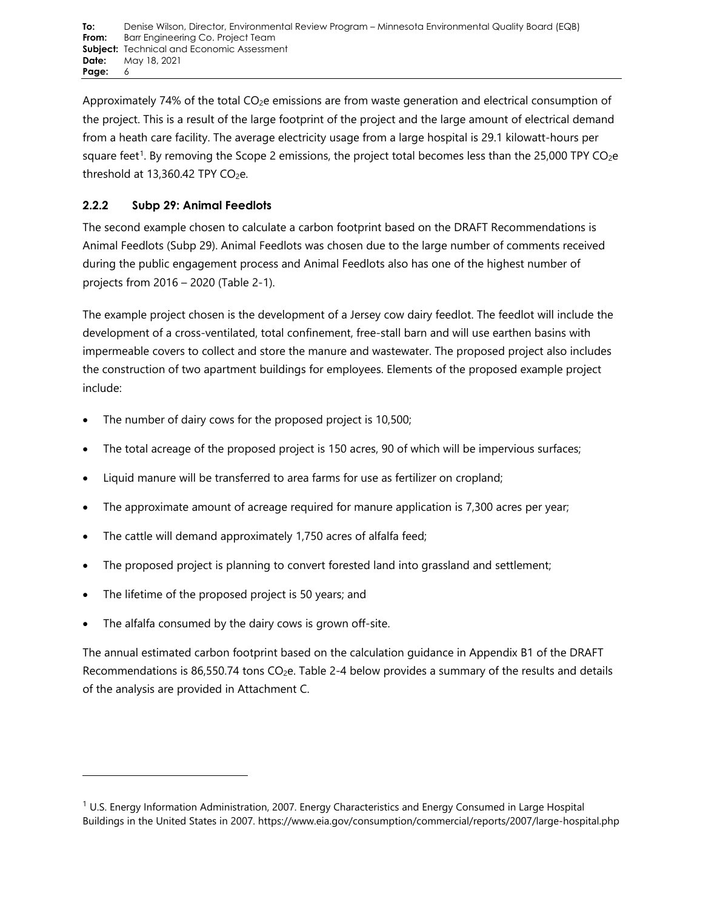Approximately 74% of the total CO2e emissions are from waste generation and electrical consumption of the project. This is a result of the large footprint of the project and the large amount of electrical demand from a heath care facility. The average electricity usage from a large hospital is 29.1 kilowatt-hours per square feet<sup>[1](#page-5-0)</sup>. By removing the Scope 2 emissions, the project total becomes less than the 25,000 TPY CO<sub>2</sub>e threshold at  $13,360.42$  TPY CO<sub>2</sub>e.

# **2.2.2 Subp 29: Animal Feedlots**

The second example chosen to calculate a carbon footprint based on the DRAFT Recommendations is Animal Feedlots (Subp 29). Animal Feedlots was chosen due to the large number of comments received during the public engagement process and Animal Feedlots also has one of the highest number of projects from 2016 – 2020 [\(Table 2-1\)](#page-1-0).

The example project chosen is the development of a Jersey cow dairy feedlot. The feedlot will include the development of a cross-ventilated, total confinement, free-stall barn and will use earthen basins with impermeable covers to collect and store the manure and wastewater. The proposed project also includes the construction of two apartment buildings for employees. Elements of the proposed example project include:

- The number of dairy cows for the proposed project is 10,500;
- The total acreage of the proposed project is 150 acres, 90 of which will be impervious surfaces;
- Liquid manure will be transferred to area farms for use as fertilizer on cropland;
- The approximate amount of acreage required for manure application is 7,300 acres per year;
- The cattle will demand approximately 1,750 acres of alfalfa feed;
- The proposed project is planning to convert forested land into grassland and settlement;
- The lifetime of the proposed project is 50 years; and
- The alfalfa consumed by the dairy cows is grown off-site.

The annual estimated carbon footprint based on the calculation guidance in Appendix B1 of the DRAFT Recommendations is 86,550.74 tons  $CO<sub>2</sub>e$ . [Table 2-4](#page-6-0) below provides a summary of the results and details of the analysis are provided in Attachment C.

<span id="page-5-0"></span> $1$  U.S. Energy Information Administration, 2007. Energy Characteristics and Energy Consumed in Large Hospital Buildings in the United States in 2007. https://www.eia.gov/consumption/commercial/reports/2007/large-hospital.php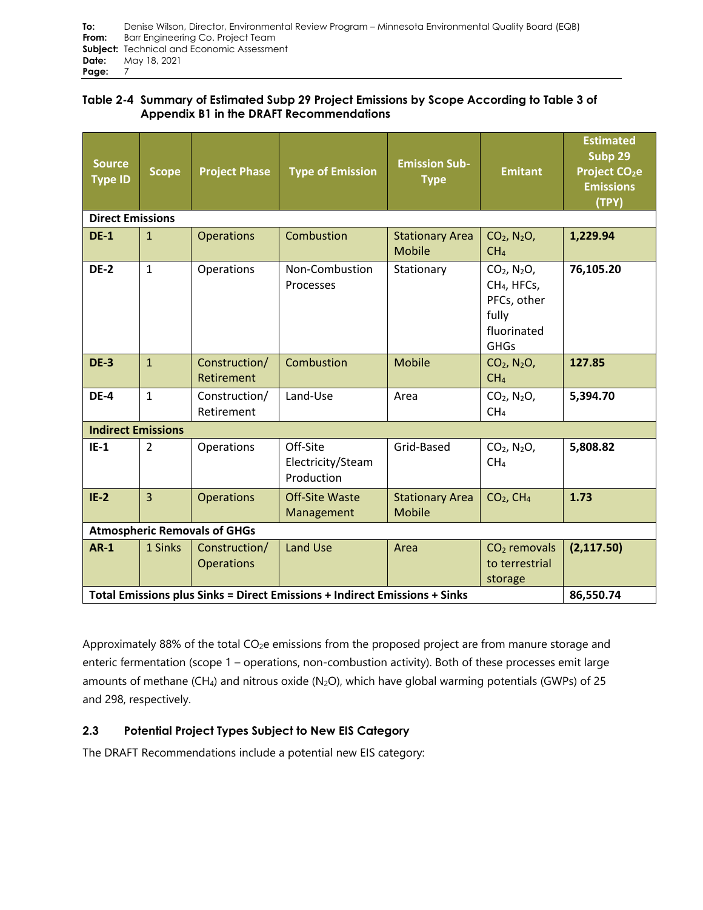| To:   | Denise Wilson, Director, Environmental Review Program – Minnesota Environmental Quality Board (EQB) |
|-------|-----------------------------------------------------------------------------------------------------|
| From: | Barr Engineering Co. Project Team                                                                   |
|       | <b>Subject:</b> Technical and Economic Assessment                                                   |
| Date: | Mav 18, 2021                                                                                        |
| Page: |                                                                                                     |

## <span id="page-6-0"></span>**Table 2-4 Summary of Estimated Subp 29 Project Emissions by Scope According to Table 3 of Appendix B1 in the DRAFT Recommendations**

| <b>Source</b><br><b>Type ID</b>                                            | <b>Scope</b>   | <b>Project Phase</b>               | <b>Type of Emission</b>                     | <b>Emission Sub-</b><br><b>Type</b>     | <b>Emitant</b>                                                                                             | <b>Estimated</b><br>Subp 29<br>Project CO <sub>2</sub> e<br><b>Emissions</b><br>(TPY) |
|----------------------------------------------------------------------------|----------------|------------------------------------|---------------------------------------------|-----------------------------------------|------------------------------------------------------------------------------------------------------------|---------------------------------------------------------------------------------------|
| <b>Direct Emissions</b>                                                    |                |                                    |                                             |                                         |                                                                                                            |                                                                                       |
| <b>DE-1</b>                                                                | $\mathbf{1}$   | <b>Operations</b>                  | Combustion                                  | <b>Stationary Area</b><br><b>Mobile</b> | $CO2$ , N <sub>2</sub> O,<br>CH <sub>4</sub>                                                               | 1,229.94                                                                              |
| <b>DE-2</b>                                                                | $\mathbf{1}$   | Operations                         | Non-Combustion<br>Processes                 | Stationary                              | $CO2$ , N <sub>2</sub> O,<br>CH <sub>4</sub> , HFCs,<br>PFCs, other<br>fully<br>fluorinated<br><b>GHGs</b> | 76,105.20                                                                             |
| <b>DE-3</b>                                                                | $\mathbf{1}$   | Construction/<br>Retirement        | Combustion                                  | <b>Mobile</b>                           | $CO2$ , N <sub>2</sub> O <sub>,</sub><br>CH <sub>4</sub>                                                   | 127.85                                                                                |
| <b>DE-4</b>                                                                | $\mathbf{1}$   | Construction/<br>Retirement        | Land-Use                                    | Area                                    | $CO2$ , N <sub>2</sub> O <sub>,</sub><br>CH <sub>4</sub>                                                   | 5,394.70                                                                              |
| <b>Indirect Emissions</b>                                                  |                |                                    |                                             |                                         |                                                                                                            |                                                                                       |
| $IE-1$                                                                     | $\overline{2}$ | Operations                         | Off-Site<br>Electricity/Steam<br>Production | Grid-Based                              | $CO2$ , N <sub>2</sub> O <sub>,</sub><br>CH <sub>4</sub>                                                   | 5,808.82                                                                              |
| $IE-2$                                                                     | $\overline{3}$ | <b>Operations</b>                  | <b>Off-Site Waste</b><br>Management         | <b>Stationary Area</b><br><b>Mobile</b> | $CO2$ , CH <sub>4</sub>                                                                                    | 1.73                                                                                  |
| <b>Atmospheric Removals of GHGs</b>                                        |                |                                    |                                             |                                         |                                                                                                            |                                                                                       |
| $AR-1$                                                                     | 1 Sinks        | Construction/<br><b>Operations</b> | <b>Land Use</b>                             | Area                                    | $CO2$ removals<br>to terrestrial<br>storage                                                                | (2, 117.50)                                                                           |
| Total Emissions plus Sinks = Direct Emissions + Indirect Emissions + Sinks |                |                                    |                                             |                                         |                                                                                                            | 86,550.74                                                                             |

Approximately 88% of the total CO<sub>2</sub>e emissions from the proposed project are from manure storage and enteric fermentation (scope 1 – operations, non-combustion activity). Both of these processes emit large amounts of methane (CH<sub>4</sub>) and nitrous oxide (N<sub>2</sub>O), which have global warming potentials (GWPs) of 25 and 298, respectively.

# **2.3 Potential Project Types Subject to New EIS Category**

The DRAFT Recommendations include a potential new EIS category: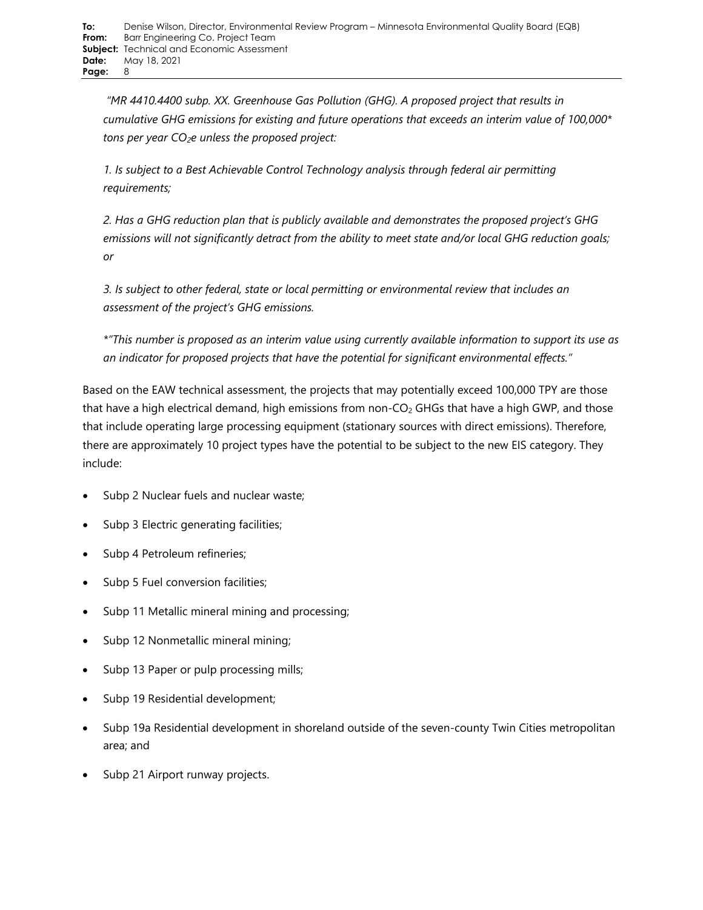*"MR 4410.4400 subp. XX. Greenhouse Gas Pollution (GHG). A proposed project that results in cumulative GHG emissions for existing and future operations that exceeds an interim value of 100,000\* tons per year CO2e unless the proposed project:*

*1. Is subject to a Best Achievable Control Technology analysis through federal air permitting requirements;*

*2. Has a GHG reduction plan that is publicly available and demonstrates the proposed project's GHG emissions will not significantly detract from the ability to meet state and/or local GHG reduction goals; or*

*3. Is subject to other federal, state or local permitting or environmental review that includes an assessment of the project's GHG emissions.*

*\*"This number is proposed as an interim value using currently available information to support its use as an indicator for proposed projects that have the potential for significant environmental effects."*

Based on the EAW technical assessment, the projects that may potentially exceed 100,000 TPY are those that have a high electrical demand, high emissions from non-CO<sub>2</sub> GHGs that have a high GWP, and those that include operating large processing equipment (stationary sources with direct emissions). Therefore, there are approximately 10 project types have the potential to be subject to the new EIS category. They include:

- Subp 2 Nuclear fuels and nuclear waste;
- Subp 3 Electric generating facilities;
- Subp 4 Petroleum refineries;
- Subp 5 Fuel conversion facilities;
- Subp 11 Metallic mineral mining and processing;
- Subp 12 Nonmetallic mineral mining;
- Subp 13 Paper or pulp processing mills;
- Subp 19 Residential development;
- Subp 19a Residential development in shoreland outside of the seven-county Twin Cities metropolitan area; and
- Subp 21 Airport runway projects.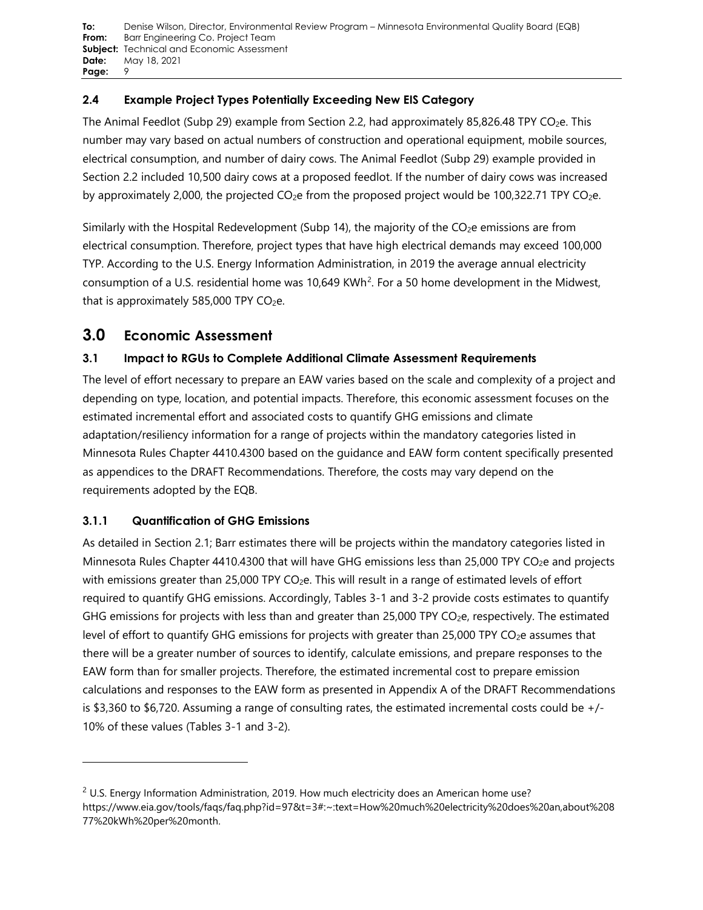# **2.4 Example Project Types Potentially Exceeding New EIS Category**

The Animal Feedlot (Subp 29) example from Section 2.2, had approximately 85,826.48 TPY CO<sub>2</sub>e. This number may vary based on actual numbers of construction and operational equipment, mobile sources, electrical consumption, and number of dairy cows. The Animal Feedlot (Subp 29) example provided in Section 2.2 included 10,500 dairy cows at a proposed feedlot. If the number of dairy cows was increased by approximately 2,000, the projected  $CO<sub>2</sub>e$  from the proposed project would be 100,322.71 TPY  $CO<sub>2</sub>e$ .

Similarly with the Hospital Redevelopment (Subp 14), the majority of the  $CO<sub>2</sub>e$  emissions are from electrical consumption. Therefore, project types that have high electrical demands may exceed 100,000 TYP. According to the U.S. Energy Information Administration, in 2019 the average annual electricity consumption of a U.S. residential home was 10,649 KWh<sup>2</sup>. For a 50 home development in the Midwest, that is approximately 585,000 TPY  $CO<sub>2</sub>e$ .

# **3.0 Economic Assessment**

# **3.1 Impact to RGUs to Complete Additional Climate Assessment Requirements**

The level of effort necessary to prepare an EAW varies based on the scale and complexity of a project and depending on type, location, and potential impacts. Therefore, this economic assessment focuses on the estimated incremental effort and associated costs to quantify GHG emissions and climate adaptation/resiliency information for a range of projects within the mandatory categories listed in Minnesota Rules Chapter 4410.4300 based on the guidance and EAW form content specifically presented as appendices to the DRAFT Recommendations. Therefore, the costs may vary depend on the requirements adopted by the EQB.

# **3.1.1 Quantification of GHG Emissions**

As detailed in Section 2.1; Barr estimates there will be projects within the mandatory categories listed in Minnesota Rules Chapter 4410.4300 that will have GHG emissions less than 25,000 TPY CO<sub>2</sub>e and projects with emissions greater than 25,000 TPY  $CO<sub>2</sub>e$ . This will result in a range of estimated levels of effort required to quantify GHG emissions. Accordingly, Tables 3-1 and 3-2 provide costs estimates to quantify GHG emissions for projects with less than and greater than 25,000 TPY CO<sub>2</sub>e, respectively. The estimated level of effort to quantify GHG emissions for projects with greater than 25,000 TPY CO<sub>2</sub>e assumes that there will be a greater number of sources to identify, calculate emissions, and prepare responses to the EAW form than for smaller projects. Therefore, the estimated incremental cost to prepare emission calculations and responses to the EAW form as presented in Appendix A of the DRAFT Recommendations is \$3,360 to \$6,720. Assuming a range of consulting rates, the estimated incremental costs could be  $+/-$ 10% of these values (Tables 3-1 and 3-2).

<span id="page-8-0"></span> $2$  U.S. Energy Information Administration, 2019. How much electricity does an American home use? https://www.eia.gov/tools/faqs/faq.php?id=97&t=3#:~:text=How%20much%20electricity%20does%20an,about%208 77%20kWh%20per%20month.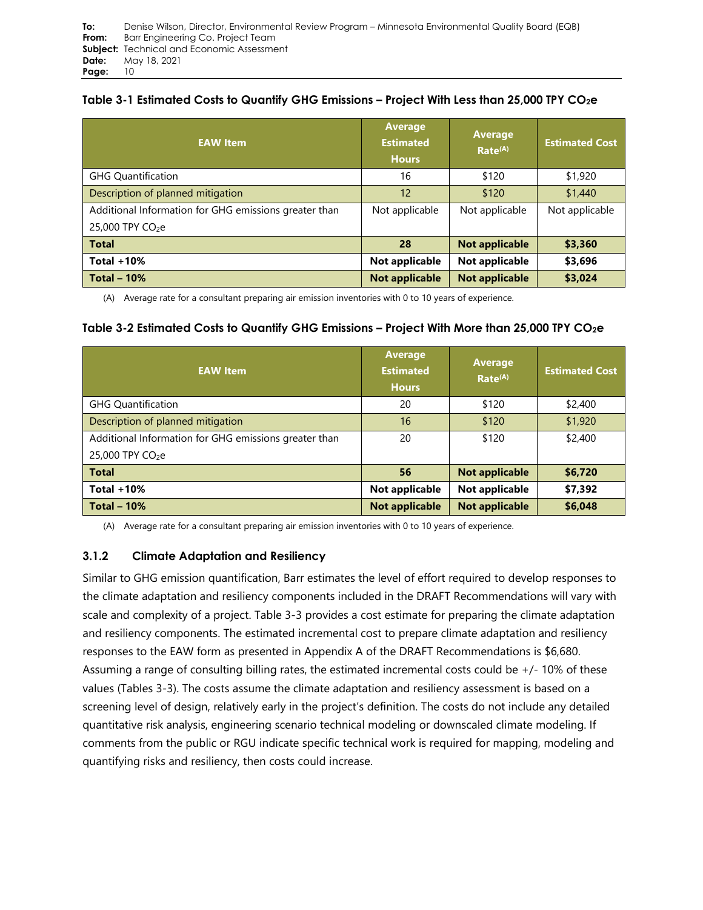## **Table 3-1 Estimated Costs to Quantify GHG Emissions – Project With Less than 25,000 TPY CO2e**

| <b>EAW Item</b>                                       | <b>Average</b><br><b>Estimated</b><br><b>Hours</b> | <b>Average</b><br>Rate <sup>(A)</sup> | <b>Estimated Cost</b> |
|-------------------------------------------------------|----------------------------------------------------|---------------------------------------|-----------------------|
| <b>GHG Quantification</b>                             | 16                                                 | \$120                                 | \$1,920               |
| Description of planned mitigation                     | 12                                                 | \$120                                 | \$1,440               |
| Additional Information for GHG emissions greater than | Not applicable                                     | Not applicable                        | Not applicable        |
| 25,000 TPY CO <sub>2</sub> e                          |                                                    |                                       |                       |
| <b>Total</b>                                          | 28                                                 | <b>Not applicable</b>                 | \$3,360               |
| Total $+10%$                                          | Not applicable                                     | Not applicable                        | \$3,696               |
| <b>Total - 10%</b>                                    | <b>Not applicable</b>                              | <b>Not applicable</b>                 | \$3,024               |

(A) Average rate for a consultant preparing air emission inventories with 0 to 10 years of experience.

## **Table 3-2 Estimated Costs to Quantify GHG Emissions – Project With More than 25,000 TPY CO2e**

| <b>EAW Item</b>                                       | <b>Average</b><br><b>Estimated</b><br><b>Hours</b> | <b>Average</b><br>Rate <sup>(A)</sup> | <b>Estimated Cost</b> |
|-------------------------------------------------------|----------------------------------------------------|---------------------------------------|-----------------------|
| <b>GHG Quantification</b>                             | 20                                                 | \$120                                 | \$2,400               |
| Description of planned mitigation                     | 16                                                 | \$120                                 | \$1,920               |
| Additional Information for GHG emissions greater than | 20                                                 | \$120                                 | \$2,400               |
| 25,000 TPY CO <sub>2</sub> e                          |                                                    |                                       |                       |
| <b>Total</b>                                          | 56                                                 | <b>Not applicable</b>                 | \$6,720               |
| Total $+10%$                                          | Not applicable                                     | Not applicable                        | \$7,392               |
| Total $-10%$                                          | <b>Not applicable</b>                              | <b>Not applicable</b>                 | \$6,048               |

(A) Average rate for a consultant preparing air emission inventories with 0 to 10 years of experience.

## **3.1.2 Climate Adaptation and Resiliency**

Similar to GHG emission quantification, Barr estimates the level of effort required to develop responses to the climate adaptation and resiliency components included in the DRAFT Recommendations will vary with scale and complexity of a project. Table 3-3 provides a cost estimate for preparing the climate adaptation and resiliency components. The estimated incremental cost to prepare climate adaptation and resiliency responses to the EAW form as presented in Appendix A of the DRAFT Recommendations is \$6,680. Assuming a range of consulting billing rates, the estimated incremental costs could be +/- 10% of these values (Tables 3-3). The costs assume the climate adaptation and resiliency assessment is based on a screening level of design, relatively early in the project's definition. The costs do not include any detailed quantitative risk analysis, engineering scenario technical modeling or downscaled climate modeling. If comments from the public or RGU indicate specific technical work is required for mapping, modeling and quantifying risks and resiliency, then costs could increase.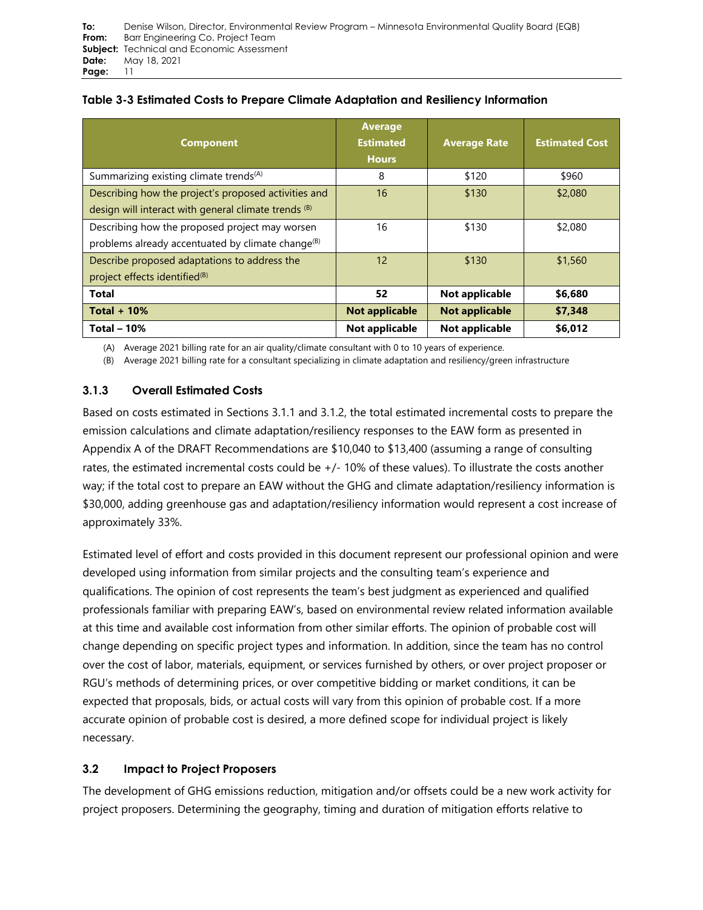| <b>Component</b>                                                                                                | <b>Average</b><br><b>Estimated</b><br><b>Hours</b> | <b>Average Rate</b>   | <b>Estimated Cost</b> |
|-----------------------------------------------------------------------------------------------------------------|----------------------------------------------------|-----------------------|-----------------------|
| Summarizing existing climate trends <sup>(A)</sup>                                                              | 8                                                  | \$120                 | \$960                 |
| Describing how the project's proposed activities and<br>design will interact with general climate trends (B)    | 16                                                 | \$130                 | \$2,080               |
| Describing how the proposed project may worsen<br>problems already accentuated by climate change <sup>(B)</sup> | 16                                                 | \$130                 | \$2,080               |
| Describe proposed adaptations to address the<br>project effects identified <sup>(B)</sup>                       | 12                                                 | \$130                 | \$1,560               |
| <b>Total</b>                                                                                                    | 52                                                 | Not applicable        | \$6,680               |
| Total $+10%$                                                                                                    | <b>Not applicable</b>                              | <b>Not applicable</b> | \$7,348               |
| Total $-10%$                                                                                                    | Not applicable                                     | Not applicable        | \$6,012               |

(A) Average 2021 billing rate for an air quality/climate consultant with 0 to 10 years of experience.

(B) Average 2021 billing rate for a consultant specializing in climate adaptation and resiliency/green infrastructure

## **3.1.3 Overall Estimated Costs**

Based on costs estimated in Sections 3.1.1 and 3.1.2, the total estimated incremental costs to prepare the emission calculations and climate adaptation/resiliency responses to the EAW form as presented in Appendix A of the DRAFT Recommendations are \$10,040 to \$13,400 (assuming a range of consulting rates, the estimated incremental costs could be +/- 10% of these values). To illustrate the costs another way; if the total cost to prepare an EAW without the GHG and climate adaptation/resiliency information is \$30,000, adding greenhouse gas and adaptation/resiliency information would represent a cost increase of approximately 33%.

Estimated level of effort and costs provided in this document represent our professional opinion and were developed using information from similar projects and the consulting team's experience and qualifications. The opinion of cost represents the team's best judgment as experienced and qualified professionals familiar with preparing EAW's, based on environmental review related information available at this time and available cost information from other similar efforts. The opinion of probable cost will change depending on specific project types and information. In addition, since the team has no control over the cost of labor, materials, equipment, or services furnished by others, or over project proposer or RGU's methods of determining prices, or over competitive bidding or market conditions, it can be expected that proposals, bids, or actual costs will vary from this opinion of probable cost. If a more accurate opinion of probable cost is desired, a more defined scope for individual project is likely necessary.

# **3.2 Impact to Project Proposers**

The development of GHG emissions reduction, mitigation and/or offsets could be a new work activity for project proposers. Determining the geography, timing and duration of mitigation efforts relative to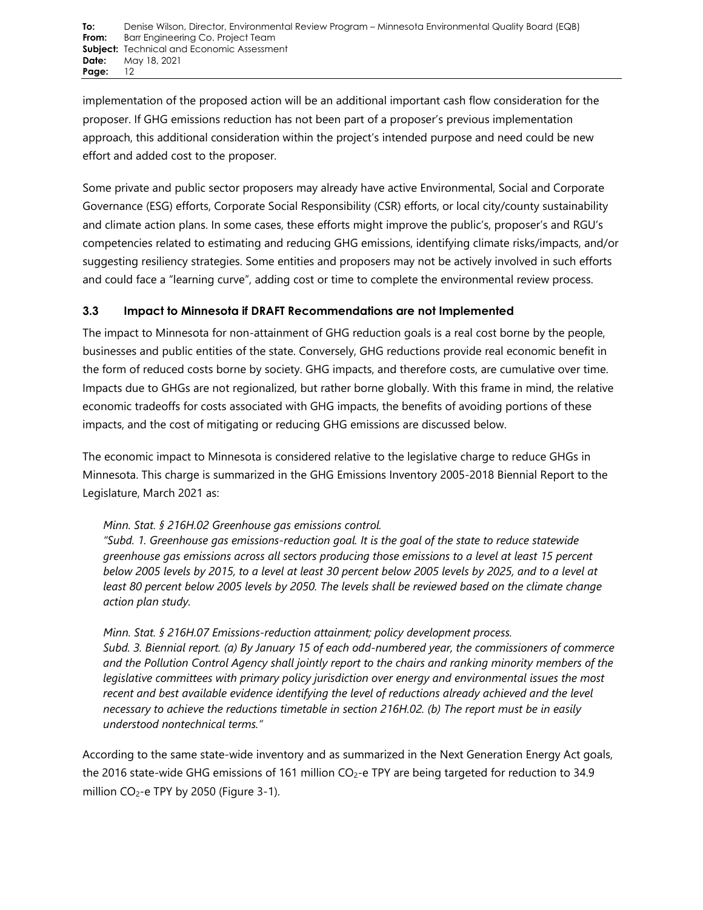implementation of the proposed action will be an additional important cash flow consideration for the proposer. If GHG emissions reduction has not been part of a proposer's previous implementation approach, this additional consideration within the project's intended purpose and need could be new effort and added cost to the proposer.

Some private and public sector proposers may already have active Environmental, Social and Corporate Governance (ESG) efforts, Corporate Social Responsibility (CSR) efforts, or local city/county sustainability and climate action plans. In some cases, these efforts might improve the public's, proposer's and RGU's competencies related to estimating and reducing GHG emissions, identifying climate risks/impacts, and/or suggesting resiliency strategies. Some entities and proposers may not be actively involved in such efforts and could face a "learning curve", adding cost or time to complete the environmental review process.

# **3.3 Impact to Minnesota if DRAFT Recommendations are not Implemented**

The impact to Minnesota for non-attainment of GHG reduction goals is a real cost borne by the people, businesses and public entities of the state. Conversely, GHG reductions provide real economic benefit in the form of reduced costs borne by society. GHG impacts, and therefore costs, are cumulative over time. Impacts due to GHGs are not regionalized, but rather borne globally. With this frame in mind, the relative economic tradeoffs for costs associated with GHG impacts, the benefits of avoiding portions of these impacts, and the cost of mitigating or reducing GHG emissions are discussed below.

The economic impact to Minnesota is considered relative to the legislative charge to reduce GHGs in Minnesota. This charge is summarized in the GHG Emissions Inventory 2005-2018 Biennial Report to the Legislature, March 2021 as:

## *Minn. Stat. § 216H.02 Greenhouse gas emissions control.*

*"Subd. 1. Greenhouse gas emissions-reduction goal. It is the goal of the state to reduce statewide greenhouse gas emissions across all sectors producing those emissions to a level at least 15 percent below 2005 levels by 2015, to a level at least 30 percent below 2005 levels by 2025, and to a level at least 80 percent below 2005 levels by 2050. The levels shall be reviewed based on the climate change action plan study.*

*Minn. Stat. § 216H.07 Emissions-reduction attainment; policy development process. Subd. 3. Biennial report. (a) By January 15 of each odd-numbered year, the commissioners of commerce and the Pollution Control Agency shall jointly report to the chairs and ranking minority members of the legislative committees with primary policy jurisdiction over energy and environmental issues the most recent and best available evidence identifying the level of reductions already achieved and the level necessary to achieve the reductions timetable in section 216H.02. (b) The report must be in easily understood nontechnical terms."*

According to the same state-wide inventory and as summarized in the Next Generation Energy Act goals, the 2016 state-wide GHG emissions of 161 million CO<sub>2</sub>-e TPY are being targeted for reduction to 34.9 million  $CO_2$ -e TPY by 2050 (Figure 3-1).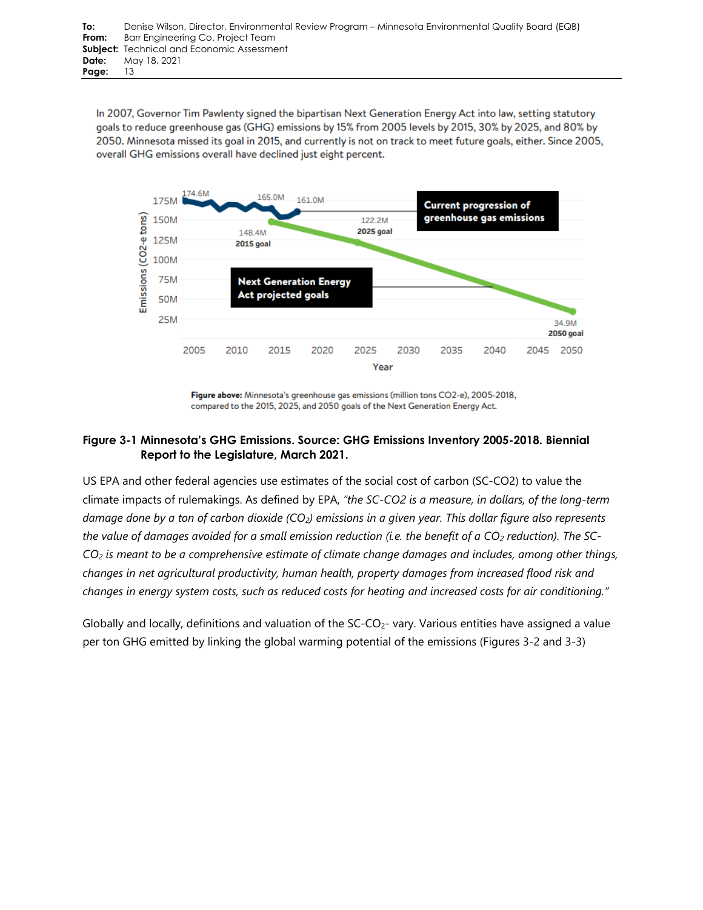In 2007, Governor Tim Pawlenty signed the bipartisan Next Generation Energy Act into law, setting statutory goals to reduce greenhouse gas (GHG) emissions by 15% from 2005 levels by 2015, 30% by 2025, and 80% by 2050. Minnesota missed its goal in 2015, and currently is not on track to meet future goals, either. Since 2005, overall GHG emissions overall have declined just eight percent.



Figure above: Minnesota's greenhouse gas emissions (million tons CO2-e), 2005-2018, compared to the 2015, 2025, and 2050 goals of the Next Generation Energy Act.

## **Figure 3-1 Minnesota's GHG Emissions. Source: GHG Emissions Inventory 2005-2018. Biennial Report to the Legislature, March 2021.**

US EPA and other federal agencies use estimates of the social cost of carbon (SC-CO2) to value the climate impacts of rulemakings. As defined by EPA, *"the SC-CO2 is a measure, in dollars, of the long-term damage done by a ton of carbon dioxide (CO2) emissions in a given year. This dollar figure also represents the value of damages avoided for a small emission reduction (i.e. the benefit of a CO2 reduction). The SC-CO2 is meant to be a comprehensive estimate of climate change damages and includes, among other things, changes in net agricultural productivity, human health, property damages from increased flood risk and changes in energy system costs, such as reduced costs for heating and increased costs for air conditioning."*

Globally and locally, definitions and valuation of the  $SC-CO<sub>2</sub>$ - vary. Various entities have assigned a value per ton GHG emitted by linking the global warming potential of the emissions (Figures 3-2 and 3-3)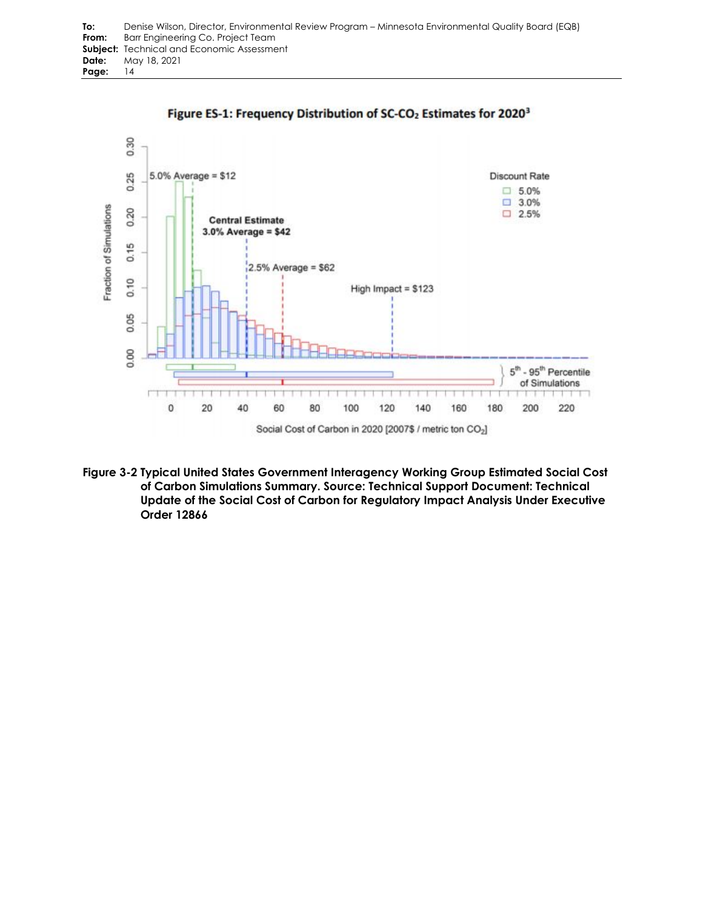



**Figure 3-2 Typical United States Government Interagency Working Group Estimated Social Cost of Carbon Simulations Summary. Source: Technical Support Document: Technical Update of the Social Cost of Carbon for Regulatory Impact Analysis Under Executive Order 12866**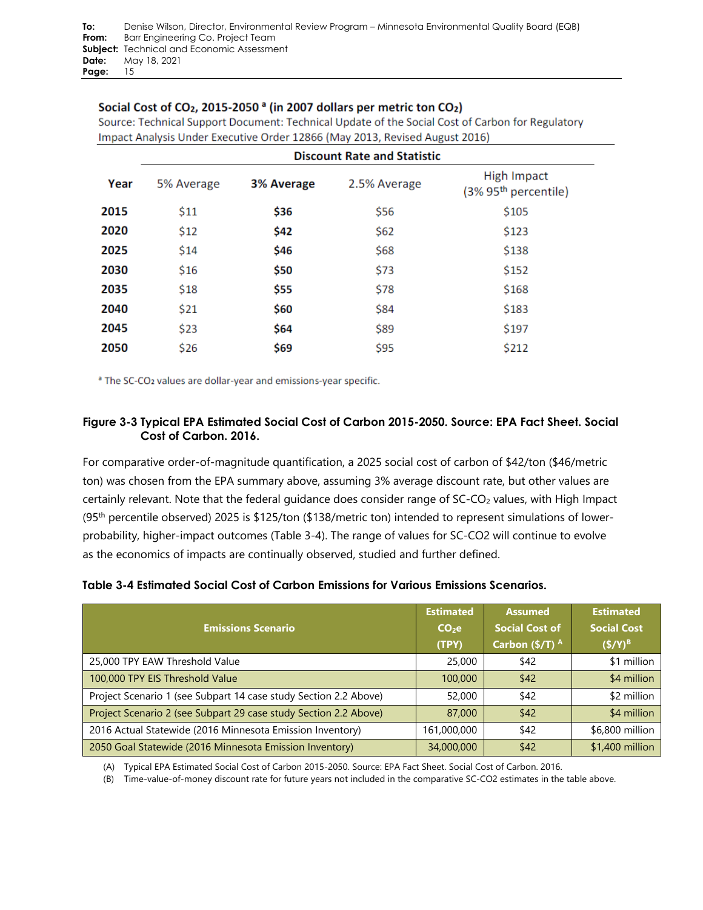## Social Cost of CO<sub>2</sub>, 2015-2050<sup>a</sup> (in 2007 dollars per metric ton CO<sub>2</sub>)

Source: Technical Support Document: Technical Update of the Social Cost of Carbon for Regulatory Impact Analysis Under Executive Order 12866 (May 2013, Revised August 2016)

|      |            |            | <b>Discount Rate and Statistic</b> |                                        |
|------|------------|------------|------------------------------------|----------------------------------------|
| Year | 5% Average | 3% Average | 2.5% Average                       | High Impact<br>$(3\% 95th$ percentile) |
| 2015 | \$11       | \$36       | \$56                               | \$105                                  |
| 2020 | \$12       | \$42       | \$62                               | \$123                                  |
| 2025 | \$14       | \$46       | \$68                               | \$138                                  |
| 2030 | \$16       | \$50       | \$73                               | \$152                                  |
| 2035 | \$18       | \$55       | \$78                               | \$168                                  |
| 2040 | \$21       | \$60       | \$84                               | \$183                                  |
| 2045 | \$23       | \$64       | \$89                               | \$197                                  |
| 2050 | \$26       | \$69       | \$95                               | \$212                                  |

<sup>a</sup> The SC-CO<sub>2</sub> values are dollar-year and emissions-year specific.

## **Figure 3-3 Typical EPA Estimated Social Cost of Carbon 2015-2050. Source: EPA Fact Sheet. Social Cost of Carbon. 2016.**

For comparative order-of-magnitude quantification, a 2025 social cost of carbon of \$42/ton (\$46/metric ton) was chosen from the EPA summary above, assuming 3% average discount rate, but other values are certainly relevant. Note that the federal guidance does consider range of SC-CO<sub>2</sub> values, with High Impact (95th percentile observed) 2025 is \$125/ton (\$138/metric ton) intended to represent simulations of lowerprobability, higher-impact outcomes (Table 3-4). The range of values for SC-CO2 will continue to evolve as the economics of impacts are continually observed, studied and further defined.

| <b>Emissions Scenario</b>                                        | <b>Estimated</b><br>CO <sub>2</sub> e<br>(TPY) | <b>Assumed</b><br><b>Social Cost of</b><br>Carbon $(\frac{5}{T})^A$ | <b>Estimated</b><br><b>Social Cost</b><br>$({\frac{4}{9}}/Y)^{B}$ |
|------------------------------------------------------------------|------------------------------------------------|---------------------------------------------------------------------|-------------------------------------------------------------------|
| 25,000 TPY EAW Threshold Value                                   | 25,000                                         | \$42                                                                | \$1 million                                                       |
| 100,000 TPY EIS Threshold Value                                  | 100,000                                        | \$42                                                                | \$4 million                                                       |
| Project Scenario 1 (see Subpart 14 case study Section 2.2 Above) | 52,000                                         | \$42                                                                | \$2 million                                                       |
| Project Scenario 2 (see Subpart 29 case study Section 2.2 Above) | 87,000                                         | \$42                                                                | \$4 million                                                       |
| 2016 Actual Statewide (2016 Minnesota Emission Inventory)        | 161,000,000                                    | \$42                                                                | \$6,800 million                                                   |
| 2050 Goal Statewide (2016 Minnesota Emission Inventory)          | 34,000,000                                     | \$42                                                                | \$1,400 million                                                   |

(A) Typical EPA Estimated Social Cost of Carbon 2015-2050. Source: EPA Fact Sheet. Social Cost of Carbon. 2016.

(B) Time-value-of-money discount rate for future years not included in the comparative SC-CO2 estimates in the table above.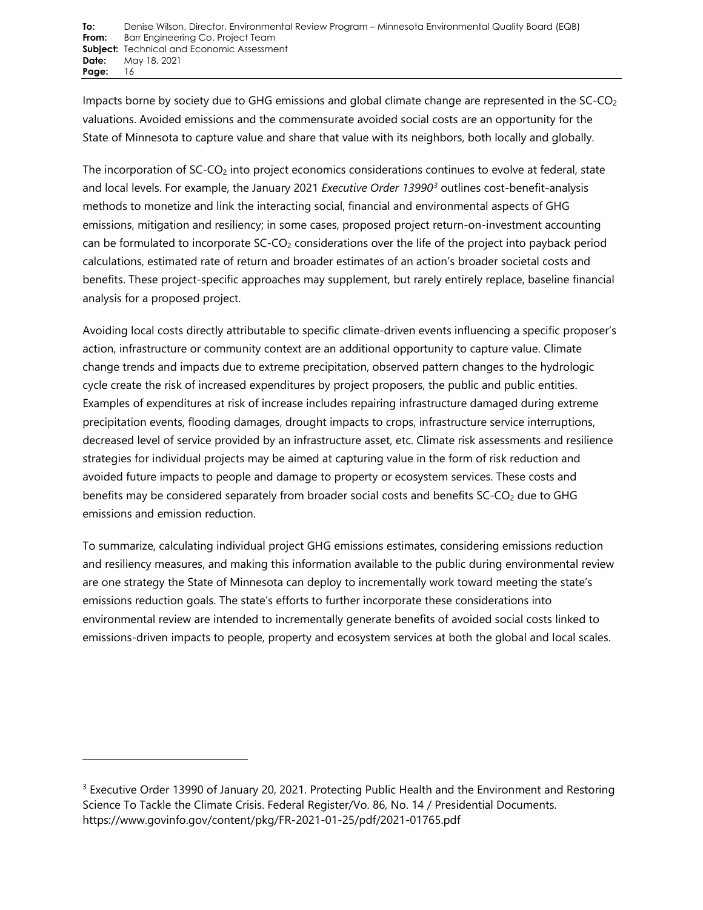Impacts borne by society due to GHG emissions and global climate change are represented in the SC-CO<sub>2</sub> valuations. Avoided emissions and the commensurate avoided social costs are an opportunity for the State of Minnesota to capture value and share that value with its neighbors, both locally and globally.

The incorporation of  $SC-CO<sub>2</sub>$  into project economics considerations continues to evolve at federal, state and local levels. For example, the January 2021 *Executive Order 13990[3](#page-15-0)* outlines cost-benefit-analysis methods to monetize and link the interacting social, financial and environmental aspects of GHG emissions, mitigation and resiliency; in some cases, proposed project return-on-investment accounting can be formulated to incorporate  $SC-CO<sub>2</sub>$  considerations over the life of the project into payback period calculations, estimated rate of return and broader estimates of an action's broader societal costs and benefits. These project-specific approaches may supplement, but rarely entirely replace, baseline financial analysis for a proposed project.

Avoiding local costs directly attributable to specific climate-driven events influencing a specific proposer's action, infrastructure or community context are an additional opportunity to capture value. Climate change trends and impacts due to extreme precipitation, observed pattern changes to the hydrologic cycle create the risk of increased expenditures by project proposers, the public and public entities. Examples of expenditures at risk of increase includes repairing infrastructure damaged during extreme precipitation events, flooding damages, drought impacts to crops, infrastructure service interruptions, decreased level of service provided by an infrastructure asset, etc. Climate risk assessments and resilience strategies for individual projects may be aimed at capturing value in the form of risk reduction and avoided future impacts to people and damage to property or ecosystem services. These costs and benefits may be considered separately from broader social costs and benefits  $SC-CO<sub>2</sub>$  due to GHG emissions and emission reduction.

To summarize, calculating individual project GHG emissions estimates, considering emissions reduction and resiliency measures, and making this information available to the public during environmental review are one strategy the State of Minnesota can deploy to incrementally work toward meeting the state's emissions reduction goals. The state's efforts to further incorporate these considerations into environmental review are intended to incrementally generate benefits of avoided social costs linked to emissions-driven impacts to people, property and ecosystem services at both the global and local scales.

<span id="page-15-0"></span><sup>&</sup>lt;sup>3</sup> Executive Order 13990 of January 20, 2021. Protecting Public Health and the Environment and Restoring Science To Tackle the Climate Crisis. Federal Register/Vo. 86, No. 14 / Presidential Documents. https://www.govinfo.gov/content/pkg/FR-2021-01-25/pdf/2021-01765.pdf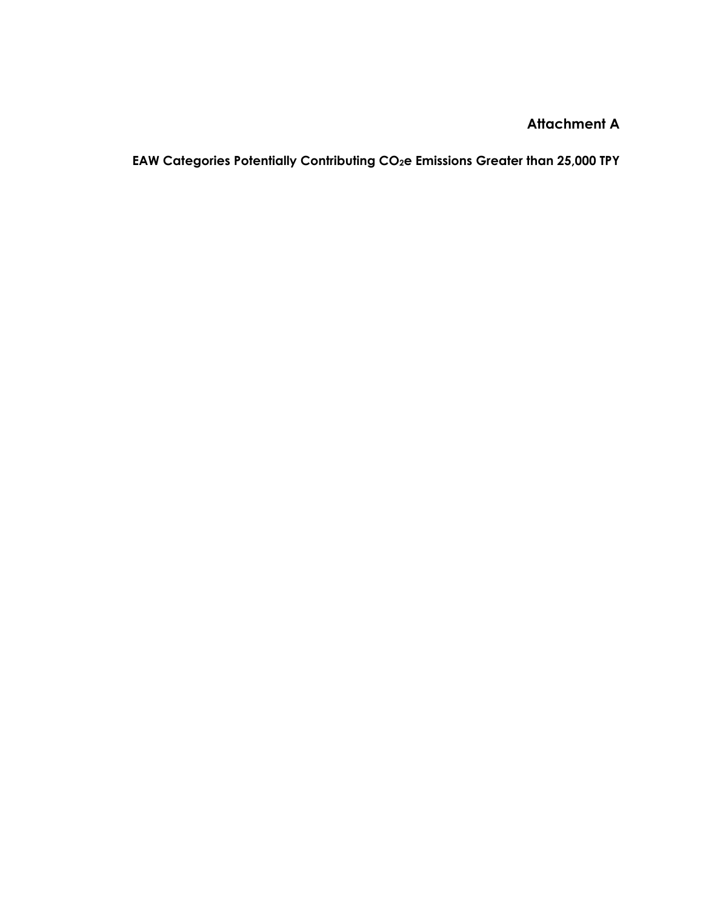**EAW Categories Potentially Contributing CO2e Emissions Greater than 25,000 TPY**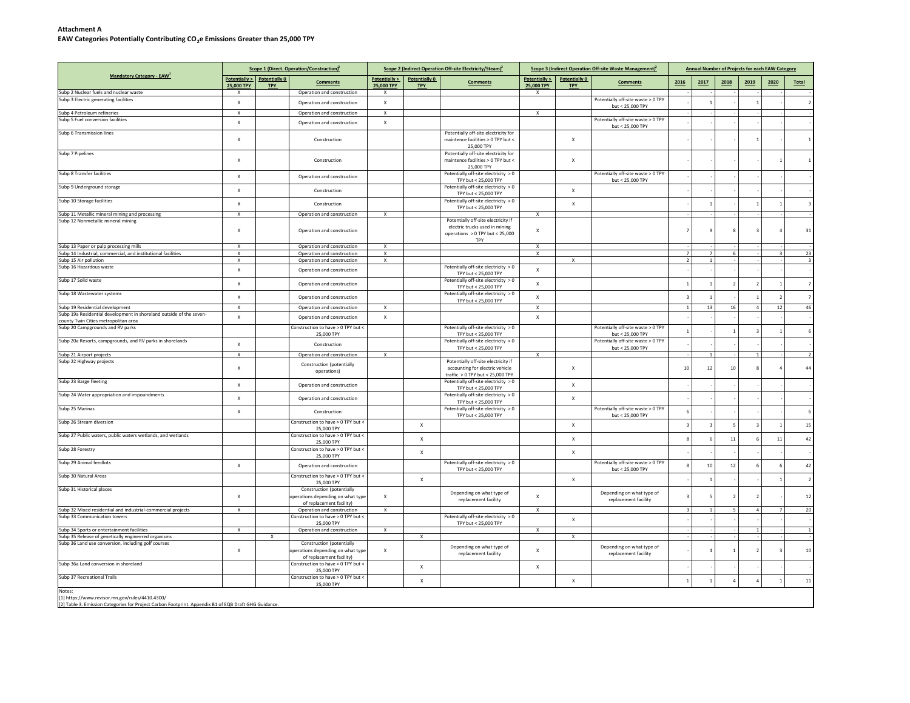#### **Attachment AEAW Categories Potentially Contributing CO2e Emissions Greater than 25,000 TPY**

|                                                                                                             |                           |                                    | Scope 1 (Direct. Operation/Construction) <sup>2</sup>                                             |                             |                             | Scope 2 (Indirect Operation Off-site Electricity/Steam) <sup>2</sup>                                            |                             |                             | Scope 3 (Indirect Operation Off-site Waste Management) <sup>2</sup> |                         |                         |                |                         | <b>Annual Number of Projects for each EAW Category</b> |                         |
|-------------------------------------------------------------------------------------------------------------|---------------------------|------------------------------------|---------------------------------------------------------------------------------------------------|-----------------------------|-----------------------------|-----------------------------------------------------------------------------------------------------------------|-----------------------------|-----------------------------|---------------------------------------------------------------------|-------------------------|-------------------------|----------------|-------------------------|--------------------------------------------------------|-------------------------|
| <b>Mandatory Category - EAW</b>                                                                             | 25,000 TPY                | Potentially > Potentially 0<br>TPY | <b>Comments</b>                                                                                   | Potentially ><br>25,000 TPY | Potentially 0<br><b>TPY</b> | <b>Comments</b>                                                                                                 | Potentially ><br>25,000 TPY | Potentially 0<br><b>TPY</b> | <b>Comments</b>                                                     | 2016                    | 2017                    | 2018           | 2019                    | 2020                                                   | Total                   |
| Subp 2 Nuclear fuels and nuclear waste                                                                      | X                         |                                    | Operation and construction                                                                        | X                           |                             |                                                                                                                 | x                           |                             |                                                                     |                         |                         |                |                         |                                                        |                         |
| Subp 3 Electric generating facilities                                                                       | $\mathsf X$               |                                    | Operation and construction                                                                        | $\mathsf X$                 |                             |                                                                                                                 |                             |                             | Potentially off-site waste > 0 TPY<br>but < 25,000 TPY              |                         |                         |                | $\overline{1}$          |                                                        | $\overline{2}$          |
| Subp 4 Petroleum refineries                                                                                 | $\mathsf X$               |                                    | Operation and construction                                                                        | $\mathsf X$                 |                             |                                                                                                                 | x                           |                             |                                                                     |                         |                         |                |                         |                                                        |                         |
| Subp 5 Fuel conversion facilities                                                                           | $\mathsf{x}$              |                                    | Operation and construction                                                                        | $\mathsf X$                 |                             |                                                                                                                 |                             |                             | Potentially off-site waste > 0 TPY<br>but < 25,000 TPY              |                         |                         |                |                         |                                                        |                         |
| Subp 6 Transmission lines                                                                                   | X                         |                                    | Construction                                                                                      |                             |                             | Potentially off-site electricity for<br>maintence facilities > 0 TPY but <<br>25,000 TPY                        |                             | $\mathsf X$                 |                                                                     |                         |                         |                |                         |                                                        |                         |
| Subp 7 Pipelines                                                                                            | $\boldsymbol{\mathsf{x}}$ |                                    | Construction                                                                                      |                             |                             | Potentially off-site electricity for<br>maintence facilities > 0 TPY but <<br>25,000 TPY                        |                             | $\mathsf X$                 |                                                                     |                         |                         |                |                         | $\mathbf{1}$                                           |                         |
| Subp 8 Transfer facilities                                                                                  | X                         |                                    | Operation and construction                                                                        |                             |                             | Potentially off-site electricity > 0<br>TPY but < 25,000 TPY                                                    |                             |                             | Potentially off-site waste > 0 TPY<br>but < 25,000 TPY              |                         |                         |                |                         |                                                        |                         |
| Subp 9 Underground storage                                                                                  | X                         |                                    | Construction                                                                                      |                             |                             | Potentially off-site electricity > 0<br>TPY but < 25,000 TPY                                                    |                             | x                           |                                                                     |                         |                         |                |                         |                                                        |                         |
| Subp 10 Storage facilities                                                                                  | $\boldsymbol{\mathsf{x}}$ |                                    | Construction                                                                                      |                             |                             | Potentially off-site electricity > 0<br>TPY but < 25,000 TPY                                                    |                             | $\mathsf X$                 |                                                                     |                         |                         |                | $\overline{1}$          | $\mathbf{1}$                                           | $\overline{3}$          |
| Subp 11 Metallic mineral mining and processing                                                              | $\mathsf{x}$              |                                    | Operation and construction                                                                        | $\mathbf{x}$                |                             |                                                                                                                 | X                           |                             |                                                                     |                         |                         |                |                         |                                                        |                         |
| Subp 12 Nonmetallic mineral mining                                                                          | $\mathsf X$               |                                    | Operation and construction                                                                        |                             |                             | Potentially off-site electricity if<br>electric trucks used in mining<br>operations > 0 TPY but < 25,000<br>TPY | $\mathsf{x}$                |                             |                                                                     |                         | $\overline{9}$          |                | 3                       | $\overline{a}$                                         | 31                      |
| Subp 13 Paper or pulp processing mills                                                                      | X                         |                                    | Operation and construction                                                                        | $\boldsymbol{\mathsf{x}}$   |                             |                                                                                                                 | X                           |                             |                                                                     |                         |                         |                |                         |                                                        |                         |
| Subp 14 Industrial, commercial, and institutional facilities                                                | $\mathsf X$               |                                    | Operation and construction                                                                        | Х                           |                             |                                                                                                                 | $\mathsf{x}$                |                             |                                                                     | $\overline{7}$          | $\overline{7}$          | 6              |                         | $\overline{3}$                                         | 23                      |
| Subp 15 Air pollution<br>Subp 16 Hazardous waste                                                            | X                         |                                    | Operation and construction                                                                        | х                           |                             | Potentially off-site electricity > 0                                                                            |                             | x                           |                                                                     | 2                       | 1                       |                |                         |                                                        | $\overline{\mathbf{3}}$ |
|                                                                                                             | $\mathsf X$               |                                    | Operation and construction                                                                        |                             |                             | TPY but < 25,000 TPY                                                                                            | X                           |                             |                                                                     |                         |                         |                |                         |                                                        |                         |
| Subp 17 Solid waste                                                                                         | $\mathsf X$               |                                    | Operation and construction                                                                        |                             |                             | Potentially off-site electricity > 0<br>TPY but < 25,000 TPY                                                    | $\mathsf X$                 |                             |                                                                     | $\overline{1}$          |                         |                | $\overline{2}$          | $\mathbf{1}$                                           | $\overline{7}$          |
| Subp 18 Wastewater systems                                                                                  | $\mathsf{x}$              |                                    | Operation and construction                                                                        |                             |                             | Potentially off-site electricity > 0<br>TPY but < 25,000 TPY                                                    | $\mathbf{x}$                |                             |                                                                     | $\overline{\mathbf{3}}$ |                         |                | $\overline{1}$          | $\overline{2}$                                         | $\overline{7}$          |
| Subp 19 Residential development                                                                             | X                         |                                    | Operation and construction                                                                        | $\mathsf{x}$                |                             |                                                                                                                 | $\boldsymbol{\mathsf{x}}$   |                             |                                                                     | <b>1</b>                | 13                      | 16             | $\overline{4}$          | $12\,$                                                 | 46                      |
| Subp 19a Residential development in shoreland outside of the seven-<br>county Twin Cities metropolitan area | $\pmb{\mathsf{X}}$        |                                    | Operation and construction                                                                        | $\mathsf X$                 |                             |                                                                                                                 | $\mathsf X$                 |                             |                                                                     |                         |                         |                |                         |                                                        |                         |
| Subp 20 Campgrounds and RV parks                                                                            |                           |                                    | Construction to have > 0 TPY but <<br>25,000 TPY                                                  |                             |                             | Potentially off-site electricity > 0<br>TPY but < 25,000 TPY                                                    |                             |                             | Potentially off-site waste > 0 TPY<br>but < 25,000 TPY              | $\mathbf{1}$            |                         |                | $\overline{\mathbf{3}}$ | $\mathbf{1}$                                           | -6                      |
| Subp 20a Resorts, campgrounds, and RV parks in shorelands                                                   | $\mathsf X$               |                                    | Construction                                                                                      |                             |                             | Potentially off-site electricity > 0<br>TPY but < 25,000 TPY                                                    |                             |                             | Potentially off-site waste > 0 TPY<br>but < 25,000 TPY              |                         |                         |                |                         |                                                        |                         |
| Subp 21 Airport projects                                                                                    | $\times$                  |                                    | Operation and construction                                                                        | $\mathsf{x}$                |                             |                                                                                                                 | $\mathsf{x}$                |                             |                                                                     |                         | $\mathbf{1}$            |                | 1                       |                                                        | $\overline{2}$          |
| Subp 22 Highway projects                                                                                    | $\boldsymbol{\mathsf{x}}$ |                                    | Construction (potentially<br>operations)                                                          |                             |                             | Potentially off-site electricity if<br>accounting for electric vehicle<br>traffic > 0 TPY but < 25,000 TPY      |                             | $\mathsf{x}$                |                                                                     | 10                      | 12                      | 10             |                         | $\overline{a}$                                         | 44                      |
| Subp 23 Barge fleeting                                                                                      | $\mathsf X$               |                                    | Operation and construction                                                                        |                             |                             | Potentially off-site electricity > 0<br>TPY but < 25,000 TPY                                                    |                             | X                           |                                                                     |                         |                         |                |                         |                                                        |                         |
| Subp 24 Water appropriation and impoundments                                                                | $\mathsf X$               |                                    | Operation and construction                                                                        |                             |                             | Potentially off-site electricity > 0                                                                            |                             | $\mathsf X$                 |                                                                     |                         |                         |                |                         |                                                        |                         |
| Subp 25 Marinas                                                                                             | $\mathsf X$               |                                    | Construction                                                                                      |                             |                             | TPY but < 25,000 TPY<br>Potentially off-site electricity > 0                                                    |                             |                             | Potentially off-site waste > 0 TPY                                  | 6                       |                         |                |                         |                                                        | -6                      |
| Subp 26 Stream diversion                                                                                    |                           |                                    | Construction to have > 0 TPY but <                                                                |                             |                             | TPY but < 25,000 TPY                                                                                            |                             |                             | but < 25,000 TPY                                                    |                         |                         |                |                         |                                                        |                         |
| Subp 27 Public waters, public waters wetlands, and wetlands                                                 |                           |                                    | 25,000 TPY<br>Construction to have > 0 TPY but <                                                  |                             | X                           |                                                                                                                 |                             | X                           |                                                                     | $\overline{\mathbf{3}}$ | $\overline{\mathbf{3}}$ |                | $\overline{a}$          | $\overline{1}$                                         | 15                      |
|                                                                                                             |                           |                                    | 25,000 TPY                                                                                        |                             | $\mathsf{x}$                |                                                                                                                 |                             | $\mathsf{x}$                |                                                                     | 8                       | 6                       | 11             | 6                       | 11                                                     | 42                      |
| Subp 28 Forestry                                                                                            |                           |                                    | Construction to have > 0 TPY but <<br>25,000 TPY                                                  |                             | Х                           |                                                                                                                 |                             | $\mathsf X$                 |                                                                     |                         |                         |                |                         |                                                        |                         |
| Subp 29 Animal feedlots                                                                                     | $\mathsf X$               |                                    | Operation and construction                                                                        |                             |                             | Potentially off-site electricity > 0<br>TPY but < 25,000 TPY                                                    |                             |                             | Potentially off-site waste > 0 TPY<br>but < 25,000 TPY              | $\mathbf{g}$            | 10                      | 12             | 6                       | 6                                                      | 42                      |
| Subp 30 Natural Areas                                                                                       |                           |                                    | Construction to have > 0 TPY but <<br>25,000 TPY                                                  |                             | Х                           |                                                                                                                 |                             | $\mathsf X$                 |                                                                     |                         | $\overline{1}$          |                |                         |                                                        | 2                       |
| Subp 31 Historical places                                                                                   | $\boldsymbol{\mathsf{x}}$ |                                    | <b>Construction</b> (potentially<br>operations depending on what type<br>of replacement facility) | X                           |                             | Depending on what type of<br>replacement facility                                                               | X                           |                             | Depending on what type of<br>replacement facility                   |                         | 5                       |                |                         |                                                        | $12\,$                  |
| Subp 32 Mixed residential and industrial-commercial projects<br>Subp 33 Communication towers                | $\mathsf{x}$              |                                    | Operation and construction<br>Construction to have > 0 TPY but <                                  | X                           |                             | Potentially off-site electricity > 0                                                                            | $\boldsymbol{\mathsf{x}}$   |                             |                                                                     | $\mathbf{a}$            | $\overline{1}$          | $\overline{5}$ | $\overline{4}$          |                                                        | 20                      |
|                                                                                                             |                           |                                    | 25,000 TPY                                                                                        |                             |                             | TPY but < 25,000 TPY                                                                                            |                             | x                           |                                                                     |                         |                         |                |                         |                                                        |                         |
| Subp 34 Sports or entertainment facilities                                                                  | X                         |                                    | Operation and construction                                                                        | $\mathsf{x}$                |                             |                                                                                                                 | $\mathsf{x}$                |                             |                                                                     |                         |                         |                | $\mathbf{1}$            |                                                        | $\overline{1}$          |
| Subp 35 Release of genetically engineered organisms<br>Subp 36 Land use conversion, including golf courses  |                           | $\times$                           | <b>Construction (potentially</b>                                                                  |                             | $\mathsf X$                 |                                                                                                                 |                             | $\mathsf{x}$                |                                                                     |                         |                         |                |                         |                                                        |                         |
|                                                                                                             | $\mathsf{x}$              |                                    | operations depending on what type<br>of replacement facility)                                     | $\boldsymbol{\mathsf{x}}$   |                             | Depending on what type of<br>replacement facility                                                               | $\mathsf{x}$                |                             | Depending on what type of<br>replacement facility                   |                         |                         |                |                         | $\overline{\mathbf{3}}$                                | $10\,$                  |
| Subp 36a Land conversion in shoreland                                                                       |                           |                                    | Construction to have > 0 TPY but <<br>25,000 TPY                                                  |                             | $\mathsf X$                 |                                                                                                                 | $\mathsf X$                 |                             |                                                                     |                         |                         |                |                         |                                                        |                         |
| Subp 37 Recreational Trails                                                                                 |                           |                                    | Construction to have > 0 TPY but <<br>25,000 TPY                                                  |                             | X                           |                                                                                                                 |                             | x                           |                                                                     | $\mathbf{1}$            |                         |                |                         | $\mathbf{1}$                                           | 11                      |
| Notes:<br>[1] https://www.revisor.mn.gov/rules/4410.4300/                                                   |                           |                                    |                                                                                                   |                             |                             |                                                                                                                 |                             |                             |                                                                     |                         |                         |                |                         |                                                        |                         |

[2] Table 3. Emission Categories for Project Carbon Footprint. Appendix B1 of EQB Draft GHG Guidance.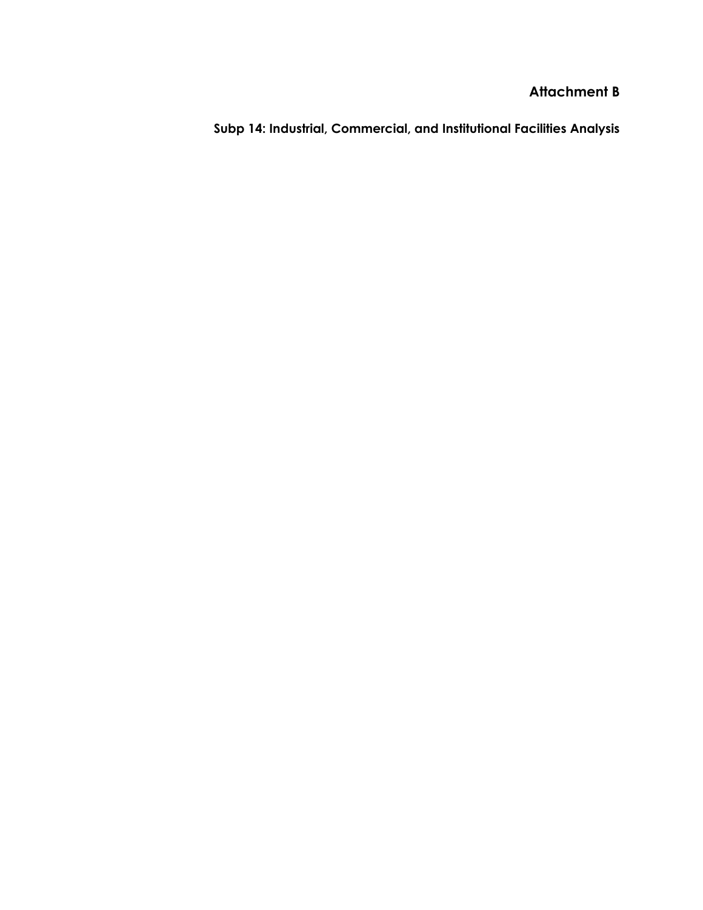**Subp 14: Industrial, Commercial, and Institutional Facilities Analysis**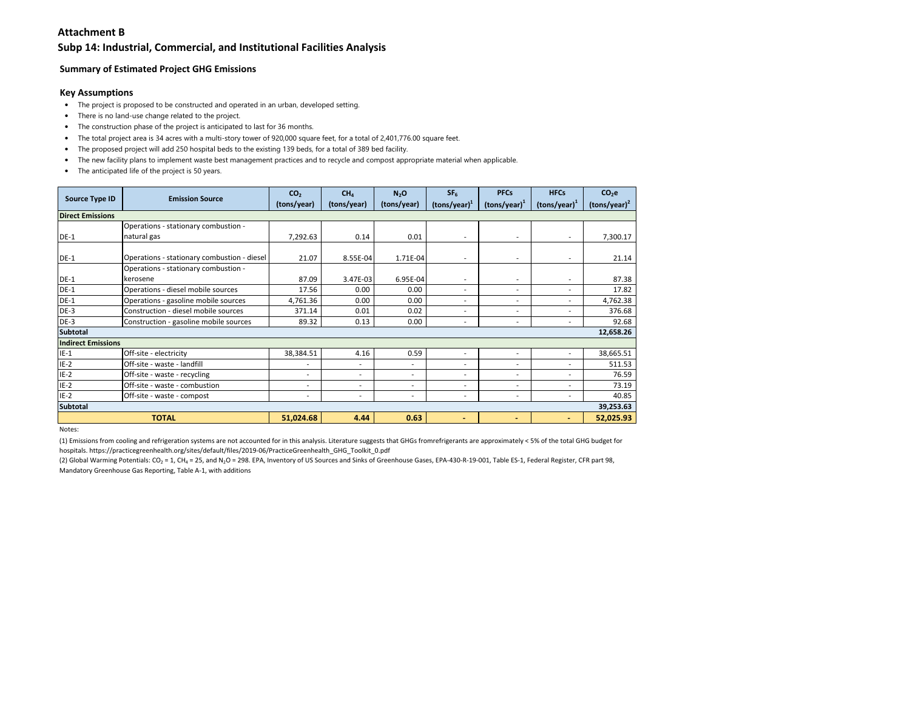### **Subp 14: Industrial, Commercial, and Institutional Facilities Analysis**

### **Summary of Estimated Project GHG Emissions**

#### **Key Assumptions**

- The project is proposed to be constructed and operated in an urban, developed setting.
- There is no land-use change related to the project.
- The construction phase of the project is anticipated to last for 36 months.
- The total project area is 34 acres with a multi-story tower of 920,000 square feet, for a total of 2,401,776.00 square feet.
- The proposed project will add 250 hospital beds to the existing 139 beds, for a total of 389 bed facility.
- The new facility plans to implement waste best management practices and to recycle and compost appropriate material when applicable.
- The anticipated life of the project is 50 years.

|                           | <b>Emission Source</b>                      | CO <sub>2</sub>          | CH <sub>4</sub> | N <sub>2</sub> O | SF <sub>6</sub>        | <b>PFCs</b>              | <b>HFCs</b>              | $CO2$ e         |
|---------------------------|---------------------------------------------|--------------------------|-----------------|------------------|------------------------|--------------------------|--------------------------|-----------------|
| <b>Source Type ID</b>     |                                             | (tons/year)              | (tons/year)     | (tons/year)      | $\text{(tons/year)}^1$ | $(tons/year)^1$          | $(tons/year)^1$          | $(tons/year)^2$ |
| <b>Direct Emissions</b>   |                                             |                          |                 |                  |                        |                          |                          |                 |
|                           | Operations - stationary combustion -        |                          |                 |                  |                        |                          |                          |                 |
| <b>DE-1</b>               | natural gas                                 | 7,292.63                 | 0.14            | 0.01             | ٠                      | ٠                        |                          | 7,300.17        |
|                           |                                             |                          |                 |                  |                        |                          |                          |                 |
| $DE-1$                    | Operations - stationary combustion - diesel | 21.07                    | 8.55E-04        | 1.71E-04         | ٠                      | ٠                        |                          | 21.14           |
|                           | Operations - stationary combustion -        |                          |                 |                  |                        |                          |                          |                 |
| <b>DE-1</b>               | kerosene                                    | 87.09                    | 3.47E-03        | 6.95E-04         | ٠                      | ٠                        | $\overline{\phantom{a}}$ | 87.38           |
| <b>DE-1</b>               | Operations - diesel mobile sources          | 17.56                    | 0.00            | 0.00             | ٠                      | ٠                        |                          | 17.82           |
| $DE-1$                    | Operations - gasoline mobile sources        | 4,761.36                 | 0.00            | 0.00             | ٠                      | ٠                        | ٠.                       | 4,762.38        |
| $DE-3$                    | Construction - diesel mobile sources        | 371.14                   | 0.01            | 0.02             | ٠                      | ٠                        | $\overline{\phantom{a}}$ | 376.68          |
| $DE-3$                    | Construction - gasoline mobile sources      | 89.32                    | 0.13            | 0.00             | ÷,                     | $\overline{a}$           | ۰.                       | 92.68           |
| <b>Subtotal</b>           |                                             |                          |                 |                  |                        |                          |                          | 12,658.26       |
| <b>Indirect Emissions</b> |                                             |                          |                 |                  |                        |                          |                          |                 |
| $IE-1$                    | Off-site - electricity                      | 38,384.51                | 4.16            | 0.59             | ٠                      | ٠                        | $\sim$                   | 38,665.51       |
| $IE-2$                    | Off-site - waste - landfill                 | $\overline{\phantom{a}}$ | ۰               | ٠                | ٠                      | ٠                        | ٠                        | 511.53          |
| $IE-2$                    | Off-site - waste - recycling                | ٠                        | ۰               | ٠                | ٠                      | ٠                        | $\overline{\phantom{a}}$ | 76.59           |
| $IE-2$                    | Off-site - waste - combustion               | $\overline{\phantom{a}}$ | ۰               | $\overline{a}$   | ٠                      | $\overline{\phantom{a}}$ | $\overline{\phantom{a}}$ | 73.19           |
| $IE-2$                    | Off-site - waste - compost                  | ٠                        | ۰               | ۰                | ٠                      | ٠                        | ٠                        | 40.85           |
| <b>Subtotal</b>           |                                             |                          |                 |                  |                        |                          |                          | 39,253.63       |
|                           | <b>TOTAL</b>                                | 51,024.68                | 4.44            | 0.63             | $\sim$                 | ٠                        | ۰                        | 52,025.93       |

Notes:

(1) Emissions from cooling and refrigeration systems are not accounted for in this analysis. Literature suggests that GHGs fromrefrigerants are approximately < 5% of the total GHG budget for hospitals. https://practicegreenhealth.org/sites/default/files/2019-06/PracticeGreenhealth\_GHG\_Toolkit\_0.pdf

(2) Global Warming Potentials: CO<sub>2</sub> = 1, CH<sub>4</sub> = 25, and N<sub>2</sub>O = 298. EPA, Inventory of US Sources and Sinks of Greenhouse Gases, EPA-430-R-19-001, Table ES-1, Federal Register, CFR part 98, Mandatory Greenhouse Gas Reporting, Table A-1, with additions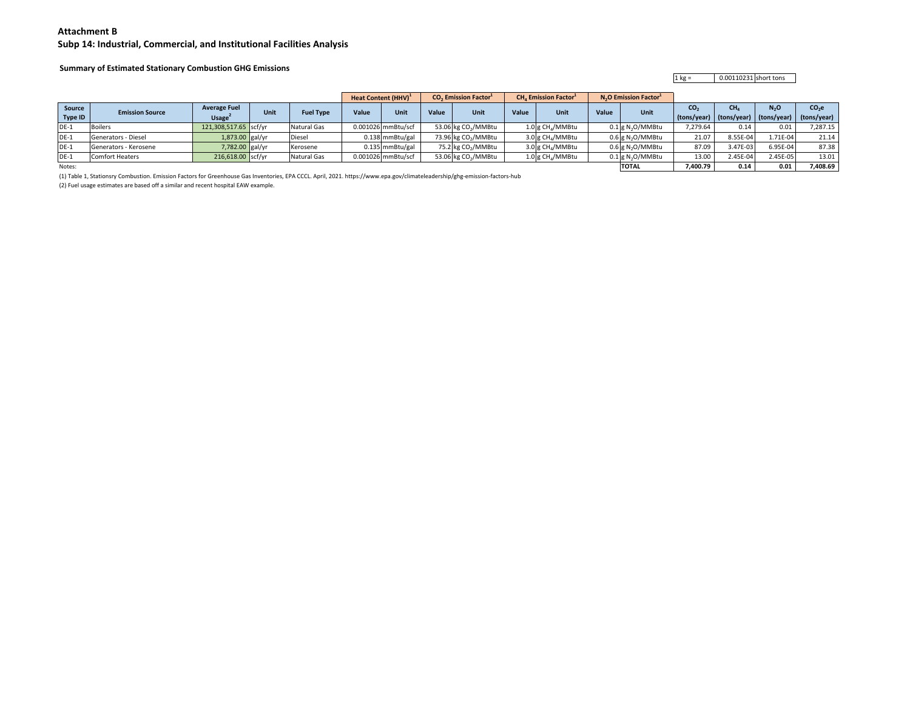#### **Subp 14: Industrial, Commercial, and Institutional Facilities Analysis**

### **Summary of Estimated Stationary Combustion GHG Emissions**

1 kg = 0.00110231 short tons

|                   |                        |                                           |      |                  |       | Heat Content (HHV) <sup>1</sup> |       | <b>CO.</b> Emission Factor <sup>1</sup> |       | <b>CH. Emission Factor</b>   |       | <b>N<sub>2</sub>O</b> Emission Factor <sup>1</sup> |                                                                    |                 |          |          |
|-------------------|------------------------|-------------------------------------------|------|------------------|-------|---------------------------------|-------|-----------------------------------------|-------|------------------------------|-------|----------------------------------------------------|--------------------------------------------------------------------|-----------------|----------|----------|
| Source<br>Type ID | <b>Emission Source</b> | <b>Average Fuel</b><br>Usage <sup>®</sup> | Unit | <b>Fuel Type</b> | Value | Unit                            | Value | Unit                                    | Value | Unit                         | Value | Unit                                               | CO <sub>2</sub><br>(tons/year) (tons/year) (tons/year) (tons/year) | CH <sub>a</sub> | $N_2$ O  | $CO2$ e  |
|                   |                        |                                           |      |                  |       |                                 |       |                                         |       |                              |       |                                                    |                                                                    |                 |          |          |
| $DE-1$            | <b>Boilers</b>         | 121,308,517.65 scf/yr                     |      | Natural Gas      |       | 0.001026 mmBtu/scf              |       | 53.06 kg CO <sub>2</sub> /MMBtu         |       | 1.0 g CH <sub>4</sub> /MMBtu |       | $0.1$ g N <sub>2</sub> O/MMBtu                     | 7,279.64                                                           | 0.14            | 0.01     | 7,287.15 |
| $DE-1$            | Generators - Diesel    | 1,873.00 gal/yr                           |      | Diesel           |       | 0.138 mmBtu/gal                 |       | 73.96 kg CO <sub>2</sub> /MMBtu         |       | 3.0 g CH <sub>4</sub> /MMBtu |       | $0.6$ g N <sub>2</sub> O/MMBtu                     | 21.07                                                              | 8.55E-04        | 1.71E-04 | 21.14    |
| $DE-1$            | Generators - Kerosene  | 7,782.00 gal/yr                           |      | Kerosene         |       | 0.135 mmBtu/gal                 |       | 75.2 kg CO <sub>2</sub> /MMBtu          |       | 3.0 g CH <sub>4</sub> /MMBtu |       | 0.6 g N <sub>2</sub> O/MMBtu                       | 87.09                                                              | 3.47E-03        | 6.95E-04 | 87.38    |
| $DE-1$            | <b>Comfort Heaters</b> | 216,618.00 scf/yr                         |      | Natural Gas      |       | 0.001026 mmBtu/scf              |       | 53.06 kg CO <sub>2</sub> /MMBtu         |       | 1.0 g CH <sub>4</sub> /MMBtu |       | $0.1$ g N <sub>2</sub> O/MMBtu                     | 13.00                                                              | 2.45E-04        | 2.45E-05 | 13.01    |
| Notes:            |                        |                                           |      |                  |       |                                 |       |                                         |       |                              |       | <b>TOTAL</b>                                       | 7,400.79                                                           | 0.14            | 0.01     | 7,408.69 |

(1) Table 1, Stationsry Combustion. Emission Factors for Greenhouse Gas Inventories, EPA CCCL. April, 2021. https://www.epa.gov/climateleadership/ghg-emission-factors-hub

(2) Fuel usage estimates are based off a similar and recent hospital EAW example.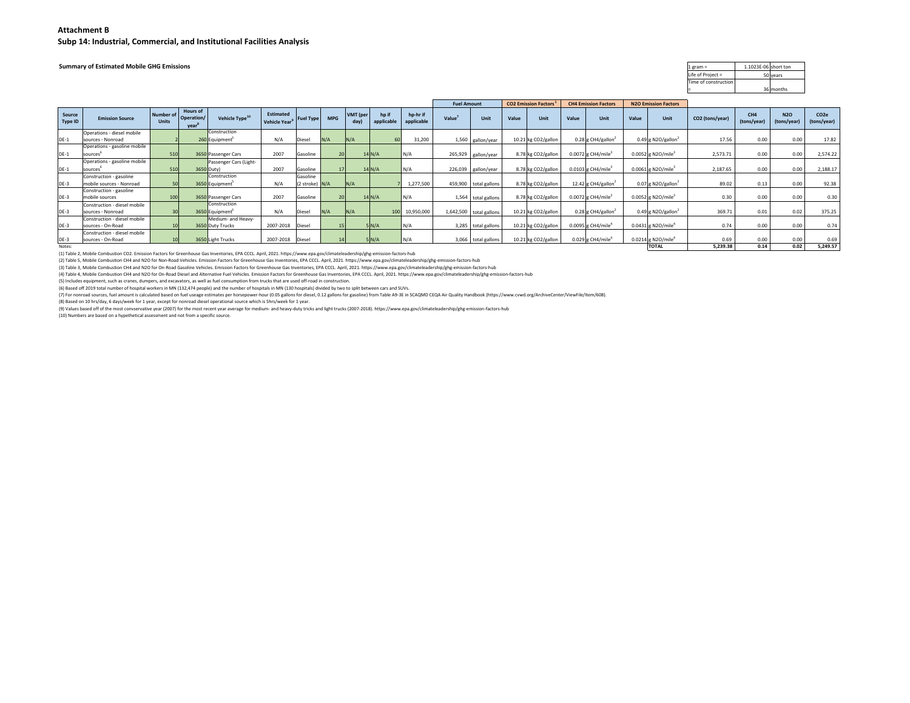**Subp 14: Industrial, Commercial, and Institutional Facilities Analysis**

**Summary of Estimated Mobile GHG Emissions**

| $1$ gram =           | 1.1023E-06 short ton |           |
|----------------------|----------------------|-----------|
| Life of Project =    |                      | 50 years  |
| Time of construction |                      |           |
|                      |                      | 36 months |

|                   |                              |                           |                                              |                            |                                        |                |                 | <b>CO2 Emission Factors</b><br><b>Fuel Amount</b> |                     |                        |         | <b>CH4 Emission Factors</b><br><b>N2O Emission Factors</b> |       |                     |       |                                  |       |                                  |                 |                                |                           |                                 |
|-------------------|------------------------------|---------------------------|----------------------------------------------|----------------------------|----------------------------------------|----------------|-----------------|---------------------------------------------------|---------------------|------------------------|---------|------------------------------------------------------------|-------|---------------------|-------|----------------------------------|-------|----------------------------------|-----------------|--------------------------------|---------------------------|---------------------------------|
| Source<br>Type ID | <b>Emission Source</b>       | Number of<br><b>Units</b> | <b>Hours of</b><br><b>Operation/</b><br>vear | Vehicle Type <sup>1</sup>  | Estimated<br>Vehicle Year <sup>9</sup> | Fuel Type      | <b>MPG</b>      | VMT (per<br>day)                                  | hp if<br>applicable | hp-hr if<br>applicable | Value   | Unit                                                       | Value | <b>Unit</b>         | Value | Unit                             | Value | Unit                             | CO2 (tons/year) | CH <sub>4</sub><br>(tons/year) | <b>N2O</b><br>(tons/year) | CO <sub>2e</sub><br>(tons/year) |
|                   | Operations - diesel mobile   |                           |                                              | Construction               |                                        |                |                 |                                                   |                     |                        |         |                                                            |       |                     |       |                                  |       |                                  |                 |                                |                           |                                 |
| DE-1              | sources - Nonroad            |                           |                                              | 260 Equipment <sup>5</sup> | N/A                                    | Diesel         | N/A             | N/A                                               |                     | 31,200<br>60           |         | 1,560 gallon/year                                          |       | 10.21 kg CO2/gallon |       | 0.28 g CH4/gallon <sup>2</sup>   |       | 0.49 g N2O/gallon <sup>2</sup>   | 17.56           | 0.00                           | 0.00                      | 17.82                           |
|                   | Operations - gasoline mobile |                           |                                              |                            |                                        |                |                 |                                                   |                     |                        |         |                                                            |       |                     |       |                                  |       |                                  |                 |                                |                           |                                 |
| DE-1              | sources                      | 510                       |                                              | 3650 Passenger Cars        | 2007                                   | Gasoline       | 20              |                                                   | $14$ N/A            | N/A                    | 265,929 | gallon/year                                                |       | 8.78 kg CO2/gallon  |       | 0.0072 g CH4/mile                |       | 0.0052 g N2O/mile <sup>3</sup>   | 2,573.71        | 0.00                           | 0.00                      | 2,574.22                        |
|                   | Operations - gasoline mobile |                           |                                              | Passenger Cars (Light-     |                                        |                |                 |                                                   |                     |                        |         |                                                            |       |                     |       |                                  |       |                                  |                 |                                |                           |                                 |
| DE-1              | sources                      | 510                       |                                              | 3650 Duty)                 | 2007                                   | Gasoline       | 17              |                                                   | $14$ <sub>N/A</sub> | N/A                    | 226,039 | gallon/year                                                |       | 8.78 kg CO2/gallon  |       | 0.0103 g CH4/mile                |       | 0.0061 g N2O/mile <sup>3</sup>   | 2.187.65        | 0.00                           | 0.00                      | 2,188.17                        |
|                   | Construction - gasoline      |                           |                                              | Construction               |                                        | Gasoline       |                 |                                                   |                     |                        |         |                                                            |       |                     |       |                                  |       |                                  |                 |                                |                           |                                 |
| DE-3              | mobile sources - Nonroad     | 50                        |                                              | 3650 Equipment             | N/A                                    | (2 stroke) N/A |                 | N/A                                               |                     | 1,277,500              |         | 459,900 total gallons                                      |       | 8.78 kg CO2/gallon  |       | 12.42 g CH4/gallon <sup>2</sup>  |       | $0.07$ g N2O/gallon <sup>2</sup> | 89.02           | 0.13                           | 0.00                      | 92.38                           |
|                   | Construction - gasoline      |                           |                                              |                            |                                        |                |                 |                                                   |                     |                        |         |                                                            |       |                     |       |                                  |       |                                  |                 |                                |                           |                                 |
| DE-3              | mobile sources               | 100                       |                                              | 3650 Passenger Cars        | 2007                                   | Gasoline       | 20              |                                                   | $14$ N/A            | N/A                    | 1,564   | total gallons                                              |       | 8.78 kg CO2/gallon  |       | $0.0072$ g CH4/mile <sup>3</sup> |       | 0.0052 g N2O/mile <sup>3</sup>   | 0.30            | 0.00                           | 0.00                      | 0.30                            |
|                   | Construction - diesel mobile |                           |                                              | Construction               |                                        |                |                 |                                                   |                     |                        |         |                                                            |       |                     |       |                                  |       |                                  |                 |                                |                           |                                 |
| DE-3              | sources - Nonroad            |                           |                                              | 3650 Equipment             | N/A                                    | Diesel         | N/A             | N/A                                               |                     | 10,950,000<br>100      |         | 1,642,500 total gallons                                    |       | 10.21 kg CO2/gallon |       | 0.28 g CH4/gallon <sup>2</sup>   |       | 0.49 g N2O/gallon <sup>2</sup>   | 369.71          | 0.01                           | 0.02                      | 375.25                          |
|                   | Construction - diesel mobile |                           |                                              | Medium- and Heavy-         |                                        |                |                 |                                                   |                     |                        |         |                                                            |       |                     |       |                                  |       |                                  |                 |                                |                           |                                 |
| DE-3              | sources - On-Road            |                           |                                              | 3650 Duty Trucks           | 2007-2018                              | Diesel         | 15 <sup>1</sup> |                                                   | 5 N/A               | N/A                    | 3,285   | total gallons                                              |       | 10.21 kg CO2/gallon |       | $0.0095$ g CH4/mile <sup>4</sup> |       | $0.0431$ g N2O/mile <sup>4</sup> | 0.74            | 0.00                           | 0.00                      | 0.74                            |
|                   | Construction - diesel mobile |                           |                                              |                            |                                        |                |                 |                                                   |                     |                        |         |                                                            |       |                     |       |                                  |       |                                  |                 |                                |                           |                                 |
| DE-3              | sources - On-Road            |                           |                                              | 3650 Light Trucks          | 2007-2018                              | Diesel         |                 |                                                   | 5N/A                | N/A                    |         | 3,066 total gallons                                        |       | 10.21 kg CO2/gallon |       | $0.029$ g CH4/mile <sup>4</sup>  |       | 0.0214 g N2O/mile <sup>4</sup>   | 0.69            | 0.00                           | 0.00                      | 0.69                            |
| Notes:            |                              |                           |                                              |                            |                                        |                |                 |                                                   |                     |                        |         |                                                            |       |                     |       |                                  |       | <b>TOTAL</b>                     | 5,239.38        | 0.14                           | 0.02                      | 5,249.57                        |

(1) Table 2, Mobile Combustion CO2. Emission Factors for Greenhouse Gas Inventories, EPA CCCL. April, 2021. https://www.epa.gov/climateleadership/ghg-emission-factors-hub

(2) Table 5, Mobile Combustion CH4 and N2O for Non-Road Vehicles. Emission Factors for Greenhouse Gas Inventories, EPA CCCL. April, 2021. https://www.epa.gov/climateleadership/ghg-emission-factors-hub

(3) Table 3, Mobile Combustion CH4 and N2O for On-Road Gasoline Vehicles. Emission Factors for Greenhouse Gas Inventories, EPA CCCL. April, 2021. https://www.epa.gov/climateleadership/ghg-emission-factors-hub

(4) Table 4, Mobile Combustion CH4 and N2O for On-Road Diesel and Alternative Fuel Vehicles. Emission Factors for Greenhouse Gas Inventories, EPA CCCL. April, 2021. https://www.epa.gov/climateleadership/ghg-emission-factor

(5) Includes equipment, such as cranes, dumpers, and excavators, as well as fuel consumption from trucks that are used off-road in construction.

(6) Based off 2019 total number of hospital workers in MN (132,474 people) and the number of hospitals in MN (130 hospitals) divided by two to split between cars and SUVs.

(7) For nonroad sources, fuel amount is calculated based on fuel useage estimates per horsepower-hour (0.05 gallons for diesel, 0.12 gallons for gasoline) from Table A9-3E in SCAQMD CEQA Air Quality Handbook (https://www.c

(8) Based on 10 hrs/day, 6 days/week for 1 year, except for nonroad diesel operational source which is 5hrs/week for 1 year.

(9) Values based off of the most convservative year (2007) for the most recent year average for medium- and heavy-duty tricks and light trucks (2007-2018). https://www.epa.gov/climateleadership/ghg-emission-factors-hub

(10) Numbers are based on a hypethetical assessment and not from a specific source.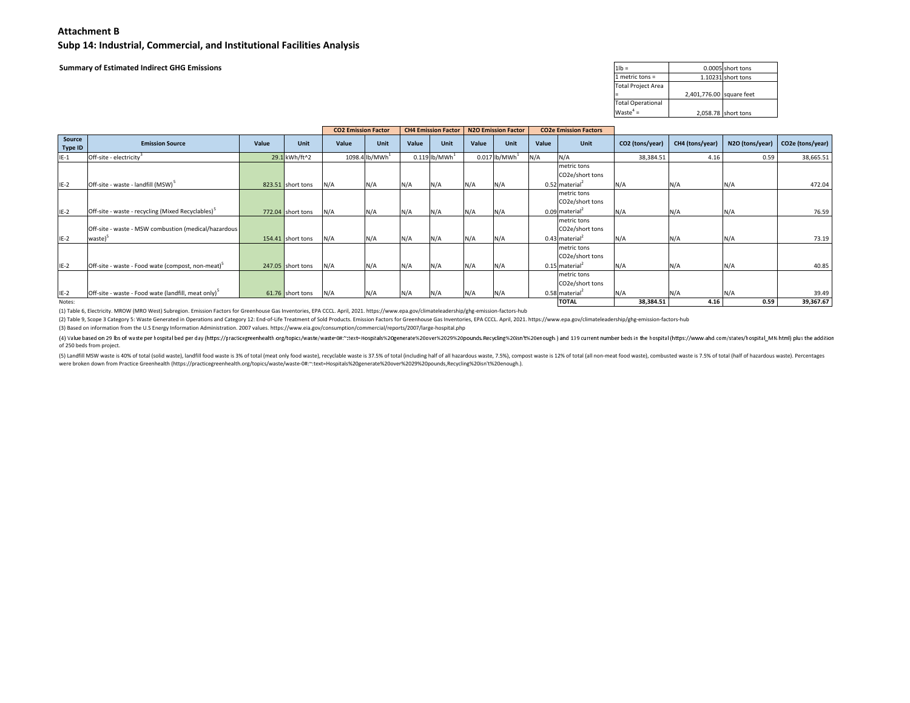**Subp 14: Industrial, Commercial, and Institutional Facilities Analysis**

**Summary of Estimated Indirect GHG Emissions**

| $1$ l $b =$               |                          | 0.0005 short tons   |
|---------------------------|--------------------------|---------------------|
| $1$ metric tons =         |                          | 1.10231 short tons  |
| <b>Total Project Area</b> |                          |                     |
|                           | 2,401,776.00 square feet |                     |
| <b>Total Operational</b>  |                          |                     |
| $Waste^4 =$               |                          | 2,058.78 short tons |

|                   |                                                                 |       |                   | <b>CO2 Emission Factor</b> |               |       | <b>CH4 Emission Factor</b>  |       | <b>N2O Emission Factor</b>  |       | <b>CO2e Emission Factors</b>   |                 |                 |                 |                  |
|-------------------|-----------------------------------------------------------------|-------|-------------------|----------------------------|---------------|-------|-----------------------------|-------|-----------------------------|-------|--------------------------------|-----------------|-----------------|-----------------|------------------|
| Source<br>Type ID | <b>Emission Source</b>                                          | Value | Unit              | Value                      | Unit          | Value | Unit                        | Value | Unit                        | Value | Unit                           | CO2 (tons/year) | CH4 (tons/year) | N2O (tons/year) | CO2e (tons/year) |
| $IE-1$            | Off-site - electricity <sup>3</sup>                             |       | 29.1 kWh/ft^2     |                            | 1098.4 lb/MWh |       | $0.119$ lb/MWh <sup>1</sup> |       | $0.017$ lb/MWh <sup>1</sup> | N/A   | N/A                            | 38,384.51       | 4.16            | 0.59            | 38,665.51        |
|                   |                                                                 |       |                   |                            |               |       |                             |       |                             |       | metric tons<br>CO2e/short tons |                 |                 |                 |                  |
| $IE-2$            | Off-site - waste - landfill (MSW) <sup>5</sup>                  |       | 823.51 short tons | N/A                        | N/A           | N/A   | N/A                         | N/A   | N/A                         |       | $0.52$ material <sup>2</sup>   | N/A             | N/A             | N/A             | 472.04           |
|                   |                                                                 |       |                   |                            |               |       |                             |       |                             |       | metric tons<br>CO2e/short tons |                 |                 |                 |                  |
| $IE-2$            | Off-site - waste - recycling (Mixed Recyclables) <sup>5</sup>   |       | 772.04 short tons | N/A                        | N/A           | N/A   | N/A                         | N/A   | N/A                         |       | $0.09$ material <sup>2</sup>   | N/A             | N/A             | N/A             | 76.59            |
|                   | Off-site - waste - MSW combustion (medical/hazardous            |       |                   |                            |               |       |                             |       |                             |       | metric tons<br>CO2e/short tons |                 |                 |                 |                  |
| $IE-2$            | waste) <sup>5</sup>                                             |       | 154.41 short tons | N/A                        | N/A           | N/A   | N/A                         | N/A   | N/A                         |       | $0.43$ material <sup>2</sup>   | N/A             | N/A             | N/A             | 73.19            |
|                   |                                                                 |       |                   |                            |               |       |                             |       |                             |       | metric tons<br>CO2e/short tons |                 |                 |                 |                  |
| $IE-2$            | Off-site - waste - Food wate (compost, non-meat) <sup>5</sup>   |       | 247.05 short tons | N/A                        | N/A           | N/A   | N/A                         | N/A   | N/A                         |       | $0.15$ material <sup>2</sup>   | N/A             | N/A             | N/A             | 40.85            |
|                   |                                                                 |       |                   |                            |               |       |                             |       |                             |       | metric tons<br>CO2e/short tons |                 |                 |                 |                  |
| $IE-2$            | Off-site - waste - Food wate (landfill, meat only) <sup>5</sup> |       | 61.76 short tons  | N/A                        | N/A           | N/A   | N/A                         | N/A   | N/A                         |       | 0.58 material <sup>2</sup>     | N/A             | N/A             | N/A             | 39.49            |
| Notes:            |                                                                 |       |                   |                            |               |       |                             |       |                             |       | <b>TOTAL</b>                   | 38,384.51       | 4.16            | 0.59            | 39,367.67        |

(1) Table 6, Electricity. MROW (MRO West) Subregion. Emission Factors for Greenhouse Gas Inventories, EPA CCCL. April, 2021. https://www.epa.gov/climateleadership/ghg-emission-factors-hub

(2) Table 9, Scope 3 Category 5: Waste Generated in Operations and Category 12: End-of-Life Treatment of Sold Products. Emission Factors for Greenhouse Gas Inventories, EPA CCCL. April, 2021. https://www.epa.gov/climatelea

(3) Based on information from the U.S Energy Information Administration. 2007 values. https://www.eia.gov/consumption/commercial/reports/2007/large-hospital.php

(4) Value based on 29 lbs of waste per hospital bed per day (https://practicegreenhealth.org/topics/waste/waste-0#:\*:text=Hospital%20generate%20over%2029%20pounds,Recycling%20isn't%20enough.) and 139 current number beds in of 250 beds from project.

(5) Landfill MSW waste is 40% of total (solid waste), landfill food waste is 3% of total (meat only food waste), recyclable waste is 37.5% of total (including half of all hazardous waste, 7.5%), compost waste is 12% of tot were broken down from Practice Greenhealth (https://practicegreenhealth.org/topics/waste/waste-0#:~:text=Hospitals%20generate%20over%2029%20pounds,Recycling%20isn't%20enough.).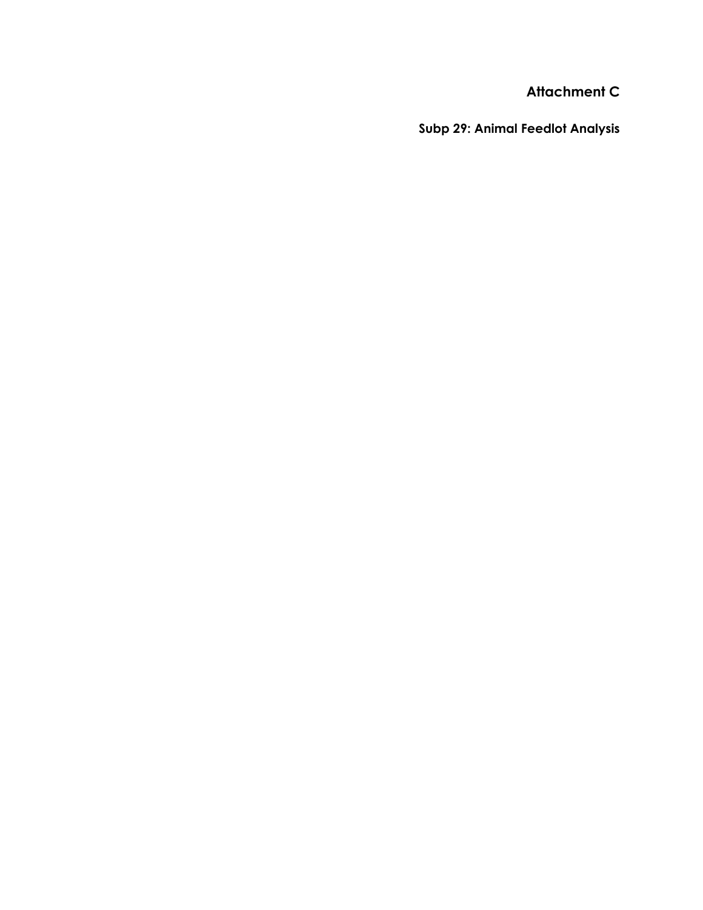**Subp 29: Animal Feedlot Analysis**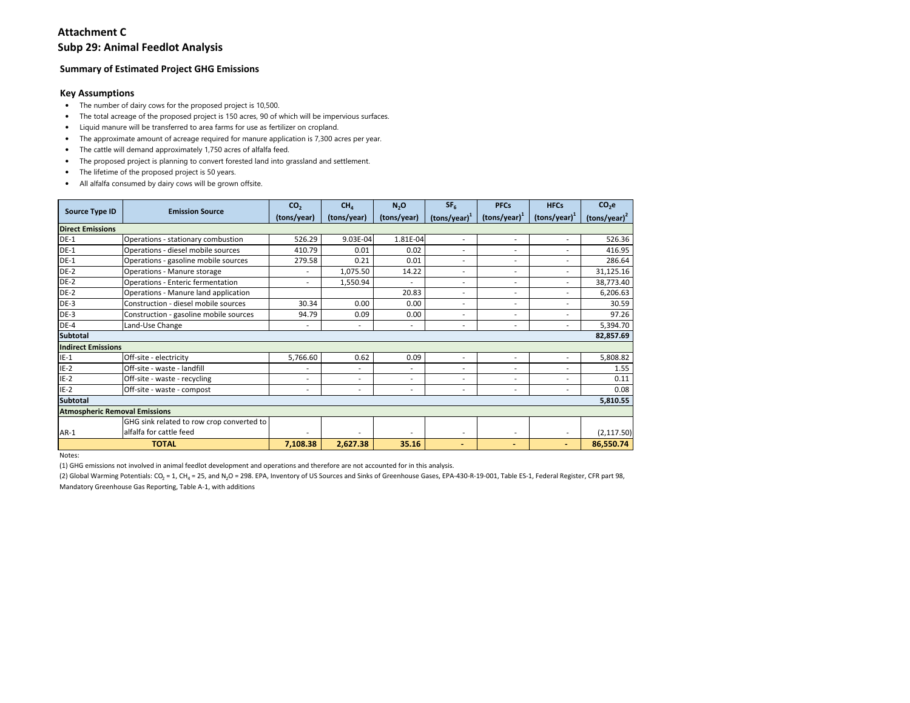### **Subp 29: Animal Feedlot Analysis**

### **Summary of Estimated Project GHG Emissions**

### **Key Assumptions**

- The number of dairy cows for the proposed project is 10,500.
- The total acreage of the proposed project is 150 acres, 90 of which will be impervious surfaces.
- •Liquid manure will be transferred to area farms for use as fertilizer on cropland.
- The approximate amount of acreage required for manure application is 7,300 acres per year.
- •The cattle will demand approximately 1,750 acres of alfalfa feed.
- •The proposed project is planning to convert forested land into grassland and settlement.
- The lifetime of the proposed project is 50 years.
- All alfalfa consumed by dairy cows will be grown offsite.

|                                      | <b>Emission Source</b>                    | CO <sub>2</sub>          | CH <sub>4</sub>          | N <sub>2</sub> O | SF <sub>6</sub>          | <b>PFCs</b>                                        | <b>HFCs</b>              | CO <sub>2</sub> e |
|--------------------------------------|-------------------------------------------|--------------------------|--------------------------|------------------|--------------------------|----------------------------------------------------|--------------------------|-------------------|
| <b>Source Type ID</b>                |                                           | (tons/year)              | (tons/year)              | (tons/year)      | $(tons/year)^1$          | $\left(\frac{\text{tons}}{\text{year}}\right)^{1}$ | $\text{(tons/year)}^1$   | $(tons/year)^2$   |
| <b>Direct Emissions</b>              |                                           |                          |                          |                  |                          |                                                    |                          |                   |
| $DE-1$                               | Operations - stationary combustion        | 526.29                   | 9.03E-04                 | 1.81E-04         | ٠                        | ٠                                                  | $\sim$                   | 526.36            |
| $DE-1$                               | Operations - diesel mobile sources        | 410.79                   | 0.01                     | 0.02             | $\overline{\phantom{a}}$ | ٠                                                  | ۰.                       | 416.95            |
| $DE-1$                               | Operations - gasoline mobile sources      | 279.58                   | 0.21                     | 0.01             | Ĭ.                       | ä,                                                 | $\overline{\phantom{a}}$ | 286.64            |
| $DE-2$                               | Operations - Manure storage               |                          | 1,075.50                 | 14.22            | Ĭ.                       | ٠                                                  | $\overline{\phantom{a}}$ | 31,125.16         |
| $DE-2$                               | Operations - Enteric fermentation         | $\blacksquare$           | 1,550.94                 |                  | ٠                        | ٠                                                  | ۰.                       | 38,773.40         |
| $DE-2$                               | Operations - Manure land application      |                          |                          | 20.83            | Ĭ.                       | ٠                                                  | ۰                        | 6,206.63          |
| $DE-3$                               | Construction - diesel mobile sources      | 30.34                    | 0.00                     | 0.00             | ٠                        | ٠                                                  | $\overline{\phantom{a}}$ | 30.59             |
| $DE-3$                               | Construction - gasoline mobile sources    | 94.79                    | 0.09                     | 0.00             | $\overline{a}$           | ä,                                                 | ٠                        | 97.26             |
| $DE-4$                               | Land-Use Change                           | $\blacksquare$           | ٠                        | ٠                | ٠                        | ٠                                                  | $\overline{\phantom{0}}$ | 5,394.70          |
| <b>Subtotal</b>                      |                                           |                          |                          |                  |                          |                                                    |                          | 82,857.69         |
| <b>Indirect Emissions</b>            |                                           |                          |                          |                  |                          |                                                    |                          |                   |
| $IE-1$                               | Off-site - electricity                    | 5,766.60                 | 0.62                     | 0.09             | Ĭ.                       |                                                    | ٠                        | 5,808.82          |
| $IE-2$                               | Off-site - waste - landfill               |                          | $\overline{\phantom{a}}$ | ٠                | ٠                        | ٠                                                  | ٠                        | 1.55              |
| $IE-2$                               | Off-site - waste - recycling              | ٠                        | ٠                        | ٠                | Ĭ.                       | ٠                                                  | ٠                        | 0.11              |
| $IE-2$                               | Off-site - waste - compost                | $\overline{\phantom{a}}$ | ٠                        | ۰                | $\overline{\phantom{a}}$ | ٠                                                  | ٠                        | 0.08              |
| <b>Subtotal</b>                      |                                           |                          |                          |                  |                          |                                                    |                          | 5,810.55          |
| <b>Atmospheric Removal Emissions</b> |                                           |                          |                          |                  |                          |                                                    |                          |                   |
|                                      | GHG sink related to row crop converted to |                          |                          |                  |                          |                                                    |                          |                   |
| $AR-1$                               | alfalfa for cattle feed                   |                          |                          |                  | $\overline{\phantom{a}}$ | ٠                                                  | ۰.                       | (2, 117.50)       |
|                                      | <b>TOTAL</b>                              | 7,108.38                 | 2,627.38                 | 35.16            | $\blacksquare$           | $\blacksquare$                                     | ۰.                       | 86,550.74         |

Notes:

(1) GHG emissions not involved in animal feedlot development and operations and therefore are not accounted for in this analysis.

(2) Global Warming Potentials: CO<sub>2</sub> = 1, CH<sub>4</sub> = 25, and N<sub>2</sub>O = 298. EPA, Inventory of US Sources and Sinks of Greenhouse Gases, EPA-430-R-19-001, Table ES-1, Federal Register, CFR part 98, Mandatory Greenhouse Gas Reporting, Table A-1, with additions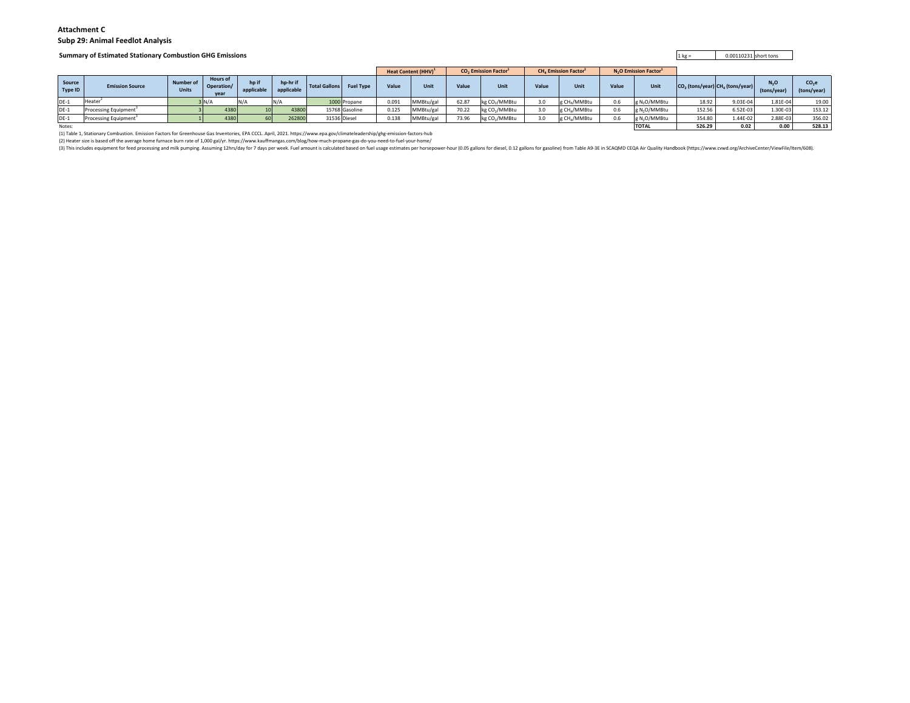#### **Attachment CSubp 29: Animal Feedlot Analysis**

#### **Summary of Estimated Stationary Combustion GHG Emissions**

**5** and  $\frac{1 \text{ kg}}{2}$  is the 0.00110231 short tons

|                   |                                                                                                                                                                            |                           |                                       |                     |                        |                      |                  |       | Heat Content (HHV) <sup>1</sup> |       | <b>CO.</b> Emission Factor <sup>1</sup> |       | <b>CH. Emission Factor</b> <sup>1</sup> |       | N <sub>2</sub> O Emission Factor <sup>1</sup> |        |                                     |                    |                                  |
|-------------------|----------------------------------------------------------------------------------------------------------------------------------------------------------------------------|---------------------------|---------------------------------------|---------------------|------------------------|----------------------|------------------|-------|---------------------------------|-------|-----------------------------------------|-------|-----------------------------------------|-------|-----------------------------------------------|--------|-------------------------------------|--------------------|----------------------------------|
| Source<br>Type ID | <b>Emission Source</b>                                                                                                                                                     | Number of<br><b>Units</b> | <b>Hours of</b><br>Operation/<br>year | hp if<br>applicable | hp-hr if<br>applicable | <b>Total Gallons</b> | <b>Fuel Type</b> | Value | <b>Unit</b>                     | Value | Unit                                    | Value | Unit                                    | Value | Unit                                          |        | $CO2$ (tons/year) $CH4$ (tons/year) | N.O<br>(tons/year) | CO <sub>2</sub> e<br>(tons/year) |
| <b>DE-1</b>       | Heater                                                                                                                                                                     |                           |                                       |                     |                        |                      | 1000 Propane     | 0.091 | MMBtu/gal                       | 62.87 | kg CO <sub>2</sub> /MMBtu               |       | g CH./MMBtu                             | 0.6   | g N <sub>2</sub> O/MMBtu                      | 18.92  | 9.03E-04                            | 1.81E-04           | 19.00                            |
| DE-1              | Processing Equipment <sup>®</sup>                                                                                                                                          |                           | 4380                                  |                     | 43800                  |                      | 15768 Gasoline   | 0.125 | MMBtu/gal                       | 70.22 | kg CO <sub>2</sub> /MMBtu               |       | g CH./MMBtu                             | 0.6   | g N <sub>2</sub> O/MMBtu                      | 152.56 | 6.52E-03                            | 1.30E-03           | 153.12                           |
| ንE-1              | Processing Equipment <sup>3</sup>                                                                                                                                          |                           | 4380                                  | 60 <sup>1</sup>     | 26280                  |                      | 31536 Diesel     | 0.138 | MMBtu/gal                       | 73.96 | kg CO <sub>2</sub> /MMBtu               |       | g CH./MMBtu                             | 0.6   | g N <sub>2</sub> O/MMBtu                      | 354.80 | 1.44E-02                            | 2.88E-03           | 356.02                           |
| Notes:            |                                                                                                                                                                            |                           |                                       |                     |                        |                      |                  |       |                                 |       |                                         |       |                                         |       | <b>TOTAL</b>                                  | 526.29 | 0.02                                | 0.00               | 528.13                           |
|                   | (1) Table 1, Stationary Combustion. Emission Factors for Greenhouse Gas Inventories, EPA CCCL. April, 2021. https://www.epa.gov/climateleadership/ghg-emission-factors-hub |                           |                                       |                     |                        |                      |                  |       |                                 |       |                                         |       |                                         |       |                                               |        |                                     |                    |                                  |

(2) Heater size is based off the average home furnace burn rate of 1,000 gal/yr. https://www.kauffmangas.com/blog/how-much-propane-gas-do-you-need-to-fuel-your-home/<br>(3) This includes equipment for feed processing and milk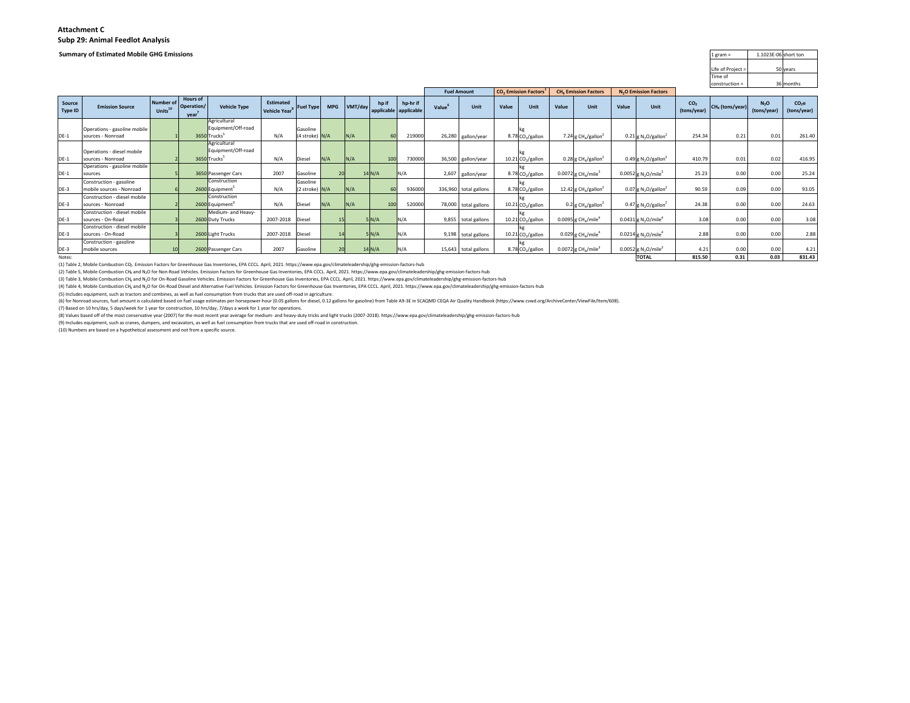#### **Summary of Estimated Mobile GHG Emissions**

| 1.1023E-06 short ton | $1$ gram =        |
|----------------------|-------------------|
|                      |                   |
| 50 years             | Life of Project = |
|                      | Time of           |
| 36 months            | $construction =$  |

|                   |                              |                                  |                                       |                                    |                                        |                  |                 |         |        |                                   |       |                       |       |                                               |       |                                               |       |                                               |                                | construction =    |                                 | 36 months              |
|-------------------|------------------------------|----------------------------------|---------------------------------------|------------------------------------|----------------------------------------|------------------|-----------------|---------|--------|-----------------------------------|-------|-----------------------|-------|-----------------------------------------------|-------|-----------------------------------------------|-------|-----------------------------------------------|--------------------------------|-------------------|---------------------------------|------------------------|
|                   |                              |                                  |                                       |                                    |                                        |                  |                 |         |        |                                   |       | <b>Fuel Amount</b>    |       | CO <sub>2</sub> Emission Factors <sup>1</sup> |       | <b>CH<sub>4</sub></b> Emission Factors        |       | N <sub>2</sub> O Emission Factors             |                                |                   |                                 |                        |
| Source<br>Type ID | <b>Emission Source</b>       | Number of<br>Units <sup>10</sup> | <b>Hours of</b><br>Operation/<br>vear | <b>Vehicle Type</b>                | Estimated<br>Vehicle Year <sup>8</sup> | <b>Fuel Type</b> | <b>MPG</b>      | VMT/day | hp if  | hp-hr if<br>applicable applicable | Value | Unit                  | Value | Unit                                          | Value | Unit                                          | Value | Unit                                          | CO <sub>2</sub><br>(tons/year) | $CH4$ (tons/year) | N <sub>2</sub> O<br>(tons/year) | $CO2$ e<br>(tons/year) |
|                   |                              |                                  |                                       | Agricultural                       |                                        |                  |                 |         |        |                                   |       |                       |       |                                               |       |                                               |       |                                               |                                |                   |                                 |                        |
|                   | Operations - gasoline mobile |                                  |                                       | Equipment/Off-road                 |                                        | Gasoline         |                 |         |        |                                   |       |                       |       |                                               |       |                                               |       |                                               |                                |                   |                                 |                        |
| DE-1              | sources - Nonroad            |                                  |                                       | 3650 Trucks <sup>5</sup>           | N/A                                    | (4 stroke) N/A   |                 | N/A     | 60     | 219000                            |       | 26,280 gallon/year    |       | 8.78 CO <sub>2</sub> /gallon                  |       | 7.24 g CH <sub>4</sub> /gallon <sup>2</sup>   |       | $0.21$ g N <sub>2</sub> O/gallon <sup>2</sup> | 254.34                         | 0.21              | 0.01                            | 261.40                 |
|                   | Operations - diesel mobile   |                                  |                                       | Agricultural<br>Equipment/Off-road |                                        |                  |                 |         |        |                                   |       |                       |       |                                               |       |                                               |       |                                               |                                |                   |                                 |                        |
| DE-1              | sources - Nonroad            |                                  |                                       | 3650 Trucks <sup>5</sup>           | N/A                                    | Diesel           | N/A             | N/A     | 100    | 730000                            |       | 36,500 gallon/year    |       | $10.21$ CO <sub>2</sub> /gallon               |       | 0.28 g CH <sub>4</sub> /gallon <sup>2</sup>   |       | $0.49$ g N <sub>2</sub> O/gallon <sup>2</sup> | 410.79                         | 0.01              | 0.02                            | 416.95                 |
|                   | Operations - gasoline mobile |                                  |                                       |                                    |                                        |                  |                 |         |        |                                   |       |                       |       |                                               |       |                                               |       |                                               |                                |                   |                                 |                        |
| DE-1              | sources                      |                                  |                                       | 3650 Passenger Cars                | 2007                                   | Gasoline         | 20              |         | 14 N/A | N/A                               | 2,607 | gallon/year           |       | 8.78 CO <sub>2</sub> /gallon                  |       | $0.0072$ g CH <sub>4</sub> /mile <sup>3</sup> |       | 0.0052 g N <sub>2</sub> O/mile <sup>3</sup>   | 25.23                          | 0.00              | 0.00                            | 25.24                  |
|                   | Construction - gasoline      |                                  |                                       | Construction                       |                                        | Gasoline         |                 |         |        |                                   |       |                       |       |                                               |       |                                               |       |                                               |                                |                   |                                 |                        |
| DE-3              | mobile sources - Nonroad     |                                  |                                       | 2600 Equipment                     | N/A                                    | (2 stroke) N/A   |                 | N/A     | 60     | 936000                            |       | 336,960 total gallons |       | 8.78 CO <sub>2</sub> /gallon                  |       | 12.42 g CH <sub>4</sub> /gallon <sup>2</sup>  |       | $0.07$ g N <sub>2</sub> O/gallon <sup>2</sup> | 90.59                          | 0.09              | 0.00                            | 93.05                  |
|                   | Construction - diesel mobile |                                  |                                       | Construction                       |                                        |                  |                 |         |        |                                   |       |                       |       |                                               |       |                                               |       |                                               |                                |                   |                                 |                        |
| DE-3              | sources - Nonroad            |                                  |                                       | 2600 Equipment <sup>7</sup>        | N/A                                    | Diesel           | N/A             | N/A     | 100    | 520000                            |       | 78,000 total gallons  |       | 10.21 CO <sub>2</sub> /gallon                 |       | $0.2$ g CH <sub>4</sub> /gallon <sup>2</sup>  |       | $0.47$ g N <sub>2</sub> O/gallon <sup>2</sup> | 24.38                          | 0.00              | 0.00                            | 24.63                  |
|                   | Construction - diesel mobile |                                  |                                       | Medium- and Heavy-                 |                                        |                  |                 |         |        |                                   |       |                       |       |                                               |       |                                               |       |                                               |                                |                   |                                 |                        |
| DE-3              | sources - On-Road            |                                  |                                       | 2600 Duty Trucks                   | 2007-2018                              | Diesel           | 15 <sup>1</sup> |         | 5N/A   | N/A                               |       | 9,855 total gallons   |       | $10.21$ CO <sub>2</sub> /gallon               |       | $0.0095$ g CH <sub>4</sub> /mile <sup>4</sup> |       | 0.0431 g N <sub>2</sub> O/mile <sup>4</sup>   | 3.08                           | 0.00              | 0.00                            | 3.08                   |
|                   | Construction - diesel mobile |                                  |                                       |                                    |                                        |                  |                 |         |        |                                   |       |                       |       |                                               |       |                                               |       |                                               |                                |                   |                                 |                        |
| DE-3              | sources - On-Road            |                                  |                                       | 2600 Light Trucks                  | 2007-2018                              | Diesel           | 14              |         | 5N/A   | N/A                               |       | 9,198 total gallons   |       | 10.21 CO <sub>2</sub> /gallon                 |       | $0.029$ g CH <sub>4</sub> /mile <sup>4</sup>  |       | 0.0214 g N <sub>2</sub> O/mile <sup>4</sup>   | 2.88                           | 0.00              | 0.00                            | 2.88                   |
|                   | Construction - gasoline      |                                  |                                       |                                    |                                        |                  |                 |         |        |                                   |       |                       |       |                                               |       |                                               |       |                                               |                                |                   |                                 |                        |
| DE-3              | mobile sources               |                                  |                                       | 2600 Passenger Cars                | 2007                                   | Gasoline         | 20              |         | 14 N/A | N/A                               |       | 15,643 total gallons  |       | 8.78 CO <sub>2</sub> /gallon                  |       | 0.0072 $g$ CH <sub>4</sub> /mile <sup>3</sup> |       | 0.0052 g N <sub>2</sub> O/mile <sup>3</sup>   | 4.21                           | 0.00              | 0.00                            | 4.21                   |
| Notes:            |                              |                                  |                                       |                                    |                                        |                  |                 |         |        |                                   |       |                       |       |                                               |       |                                               |       | <b>TOTAL</b>                                  | 815.50                         | 0.31              | 0.03                            | 831.43                 |

(1) Table 2, Mobile Combustion CO2. Emission Factors for Greenhouse Gas Inventories, EPA CCCL. April, 2021. https://www.epa.gov/climateleadership/ghg-emission-factors-hub

(2) Table 5, Mobile Combustion CH4 and N2O for Non-Road Vehicles. Emission Factors for Greenhouse Gas Inventories, EPA CCCL. April, 2021. https://www.epa.gov/climateleadership/ghg-emission-factors-hub

(3) Table 3, Mobile Combustion CH<sub>4</sub> and N<sub>2</sub>O for On-Road Gasoline Vehicles. Emission Factors for Greenhouse Gas Inventories, EPA CCCL. April, 2021. https://www.epa.gov/climateleadership/ghg-emission-factors-hub

(4) Table 4, Mobile Combustion CH<sub>e</sub> and N<sub>2</sub>O for On-Road Diesel and Alternative Fuel Vehicles. Emission Factors for Greenhouse Gas Inventories, EPA CCCL. April, 2021. https://www.epa.gov/climateleadership/ghg-emission-fa

(5) Includes equipment, such as tractors and combines, as well as fuel consumption from trucks that are used off-road in agriculture.

(6) for Nonroad sources, fuel amount is calculated based on fuel usage estimates per horsepower-hour (0.05 gallons for diesel, 0.12 gallons for gasoline) from Table A9-3E in SCAQMD CEQA Air Quality Handbook (https://www.cw

(7) Based on 10 hrs/day, 5 days/week for 1 year for construction, 10 hrs/day, 7/days a week for 1 year for operations.(8) Values based off of the most conservative year (2007) for the most recent year average for medium- and heavy-duty tricks and light trucks (2007-2018). https://www.epa.gov/climateleadership/ghg-emission-factors-hub

(9) Includes equipment, such as cranes, dumpers, and excavators, as well as fuel consumption from trucks that are used off-road in construction.

(10) Numbers are based on a hypothetical assessment and not from a specific source.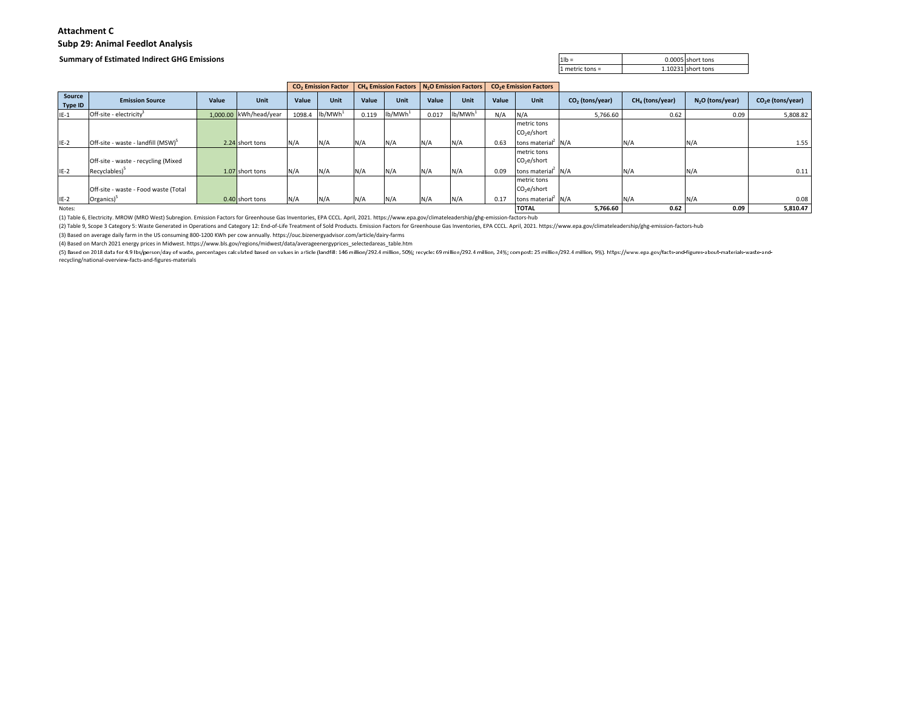### **Attachment CSubp 29: Animal Feedlot Analysis**

#### **Summary of Estimated Indirect GHG Emissions**

| $1$ lb = |                          | 0.0005 short tons |
|----------|--------------------------|-------------------|
|          | 1.102<br>⊥ metric tons = | Lishort tons      |

|                   |                                                |       |                        |        | <b>CO<sub>2</sub></b> Emission Factor |       | CH <sub>4</sub> Emission Factors   N <sub>2</sub> O Emission Factors |       |                     |          | <b>CO<sub>2</sub>e Emission Factors</b> |                   |                   |                   |                    |
|-------------------|------------------------------------------------|-------|------------------------|--------|---------------------------------------|-------|----------------------------------------------------------------------|-------|---------------------|----------|-----------------------------------------|-------------------|-------------------|-------------------|--------------------|
| Source<br>Type ID | <b>Emission Source</b>                         | Value | Unit                   | Value  | Unit                                  | Value | Unit                                                                 | Value | Unit                | Value    | Unit                                    | $CO2$ (tons/year) | $CH4$ (tons/year) | $N2O$ (tons/year) | $CO2e$ (tons/year) |
| $IE-1$            | Off-site - electricity <sup>3</sup>            |       | 1,000.00 kWh/head/year | 1098.4 | lb/MWh <sup>1</sup>                   | 0.119 | lb/MWh <sup>3</sup>                                                  | 0.017 | lb/MWh <sup>1</sup> | N/A      | N/A                                     | 5,766.60          | 0.62              | 0.09              | 5,808.82           |
|                   |                                                |       |                        |        |                                       |       |                                                                      |       |                     |          | metric tons<br>$CO2$ e/short            |                   |                   |                   |                    |
| $IE-2$            | Off-site - waste - landfill (MSW) <sup>5</sup> |       | 2.24 short tons        | N/A    | N/A                                   | N/A   | N/A                                                                  | N/A   | N/A                 | 0.63     | tons material <sup>2</sup> N/A          |                   | N/A               | N/A               | 1.55               |
|                   | Off-site - waste - recycling (Mixed            |       |                        |        |                                       |       |                                                                      |       |                     |          | metric tons<br>$CO2$ e/short            |                   |                   |                   |                    |
| $IE-2$            | Recyclables) <sup>5</sup>                      |       | 1.07 short tons        | N/A    | N/A                                   | N/A   | N/A                                                                  | N/A   | N/A                 | 0.09     | tons material N/A                       |                   | N/A               | N/A               | 0.11               |
|                   | Off-site - waste - Food waste (Total           |       |                        |        |                                       |       |                                                                      |       |                     |          | metric tons<br>$CO2$ e/short            |                   |                   |                   |                    |
| $IE-2$            | Organics) <sup>5</sup>                         |       | 0.40 short tons        | N/A    | N/A                                   | N/A   | N/A                                                                  | N/A   | N/A                 | 0.17     | tons material N/A                       |                   | N/A               | $N/\rho$          | 0.08               |
| Notes:            |                                                |       |                        |        |                                       |       |                                                                      |       | <b>TOTAL</b>        | 5,766.60 | 0.62                                    | 0.09              | 5,810.47          |                   |                    |

(1) Table 6, Electricity. MROW (MRO West) Subregion. Emission Factors for Greenhouse Gas Inventories, EPA CCCL. April, 2021. https://www.epa.gov/climateleadership/ghg-emission-factors-hub

(2) Table 9, Scope 3 Category 5: Waste Generated in Operations and Category 12: End-of-Life Treatment of Sold Products. Emission Factors for Greenhouse Gas Inventories, EPA CCCL. April, 2021. https://www.epa.gov/climatelea

(3) Based on average daily farm in the US consuming 800-1200 KWh per cow annually. https://ouc.bizenergyadvisor.com/article/dairy-farms

(4) Based on March 2021 energy prices in Midwest. https://www.bls.gov/regions/midwest/data/averageenergyprices\_selectedareas\_table.htm

(5) Based on 2018 data for 4.9 lbs/person/day of waste, percentages calculated based on values in article (landfill: 146 million/292.4 million, 50%; recycle: 69 million/292.4 million, 24%; compost: 25 million/292.4 million recycling/national-overview-facts-and-figures-materials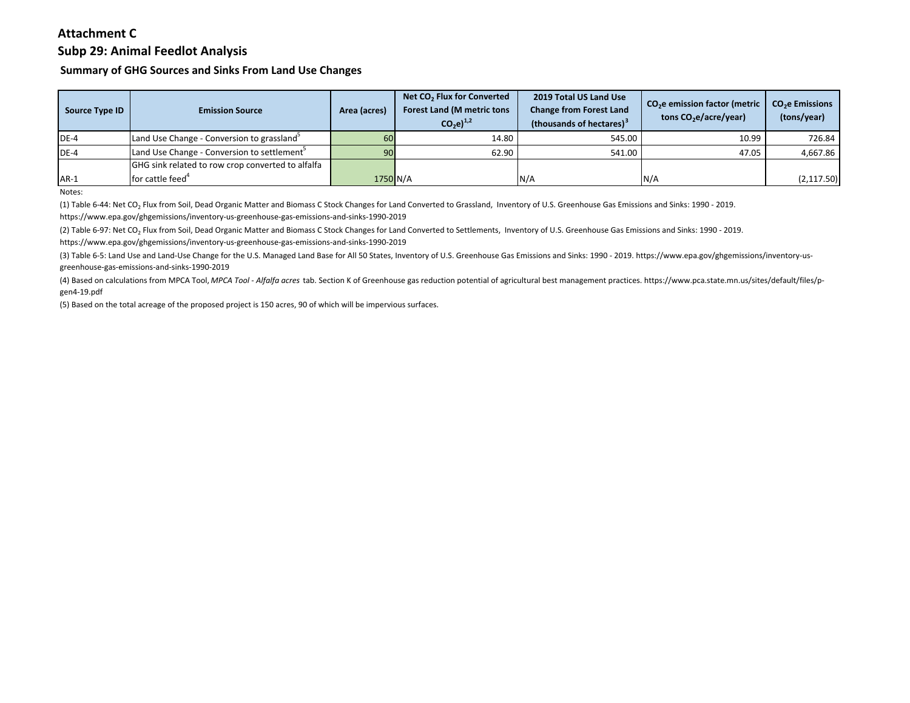# **Subp 29: Animal Feedlot Analysis**

**Summary of GHG Sources and Sinks From Land Use Changes**

| Source Type ID | <b>Emission Source</b>                                  | Area (acres) | Net CO <sub>2</sub> Flux for Converted<br><b>Forest Land (M metric tons</b><br>$CO_2$ e) <sup>1,2</sup> | 2019 Total US Land Use<br><b>Change from Forest Land</b><br>(thousands of hectares) <sup>3</sup> | CO <sub>2</sub> e emission factor (metric<br>tons $CO2e/acre/year)$ | CO <sub>2</sub> e Emissions<br>(tons/year) |
|----------------|---------------------------------------------------------|--------------|---------------------------------------------------------------------------------------------------------|--------------------------------------------------------------------------------------------------|---------------------------------------------------------------------|--------------------------------------------|
| $DE-4$         | Land Use Change - Conversion to grassland <sup>3</sup>  | 60           | 14.80                                                                                                   | 545.00                                                                                           | 10.99                                                               | 726.84                                     |
| $DE-4$         | Land Use Change - Conversion to settlement <sup>5</sup> | 90           | 62.90                                                                                                   | 541.00                                                                                           | 47.05                                                               | 4,667.86                                   |
|                | GHG sink related to row crop converted to alfalfa       |              |                                                                                                         |                                                                                                  |                                                                     |                                            |
| $AR-1$         | for cattle feed <sup>4</sup>                            | 1750 N/A     |                                                                                                         | N/A                                                                                              | N/A                                                                 | (2, 117.50)                                |

Notes:

(1) Table 6-44: Net CO2 Flux from Soil, Dead Organic Matter and Biomass C Stock Changes for Land Converted to Grassland, Inventory of U.S. Greenhouse Gas Emissions and Sinks: 1990 - 2019.

https://www.epa.gov/ghgemissions/inventory-us-greenhouse-gas-emissions-and-sinks-1990-2019

(2) Table 6-97: Net CO<sub>2</sub> Flux from Soil, Dead Organic Matter and Biomass C Stock Changes for Land Converted to Settlements, Inventory of U.S. Greenhouse Gas Emissions and Sinks: 1990 - 2019. https://www.epa.gov/ghgemissions/inventory-us-greenhouse-gas-emissions-and-sinks-1990-2019

(3) Table 6-5: Land Use and Land-Use Change for the U.S. Managed Land Base for All 50 States, Inventory of U.S. Greenhouse Gas Emissions and Sinks: 1990 - 2019. https://www.epa.gov/ghgemissions/inventory-us greenhouse-gas-emissions-and-sinks-1990-2019

(4) Based on calculations from MPCA Tool, *MPCA Tool - Alfalfa acres* tab. Section K of Greenhouse gas reduction potential of agricultural best management practices. https://www.pca.state.mn.us/sites/default/files/p gen4-19.pdf

(5) Based on the total acreage of the proposed project is 150 acres, 90 of which will be impervious surfaces.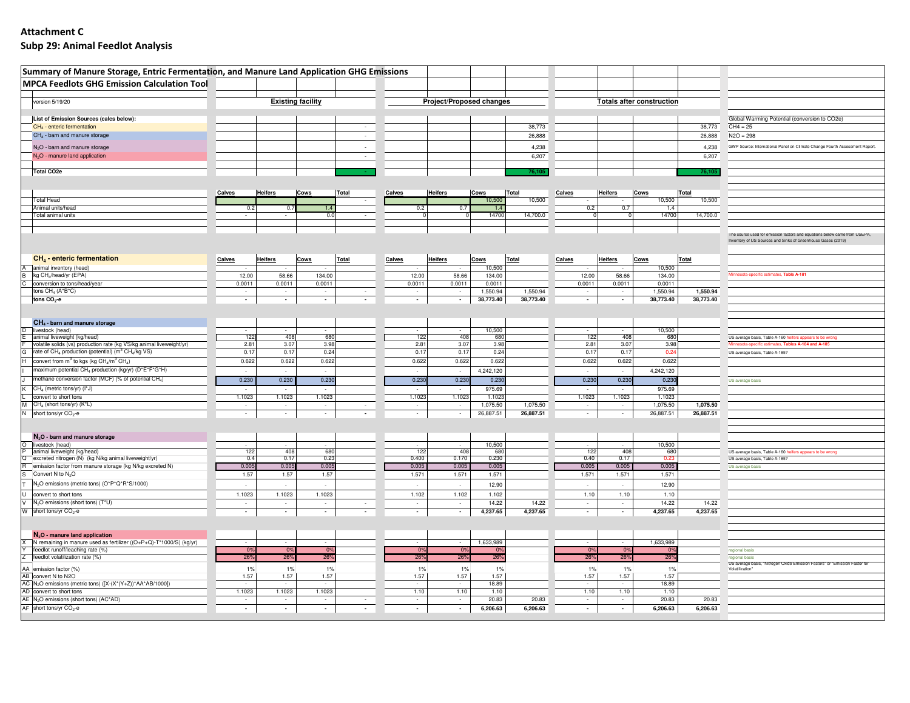## **Attachment CSubp 29: Animal Feedlot Analysis**

| Summary of Manure Storage, Entric Fermentation, and Manure Land Application GHG Emissions                                                                           |                          |                          |                  |                                    |        |                  |                          |                    |                       |                          |                                  |                    |                       |                                                                                                                                           |
|---------------------------------------------------------------------------------------------------------------------------------------------------------------------|--------------------------|--------------------------|------------------|------------------------------------|--------|------------------|--------------------------|--------------------|-----------------------|--------------------------|----------------------------------|--------------------|-----------------------|-------------------------------------------------------------------------------------------------------------------------------------------|
| <b>MPCA Feedlots GHG Emission Calculation Tool</b>                                                                                                                  |                          |                          |                  |                                    |        |                  |                          |                    |                       |                          |                                  |                    |                       |                                                                                                                                           |
| version 5/19/20                                                                                                                                                     | <b>Existing facility</b> |                          |                  |                                    |        |                  | Project/Proposed changes |                    |                       |                          | <b>Totals after construction</b> |                    |                       |                                                                                                                                           |
| List of Emission Sources (calcs below):                                                                                                                             |                          |                          |                  |                                    |        |                  |                          |                    |                       |                          |                                  |                    |                       | Global Warming Potential (conversion to CO2e)                                                                                             |
| CH <sub>4</sub> - enteric fermentation                                                                                                                              |                          |                          |                  | $\sim$                             |        |                  |                          |                    | 38,773                |                          |                                  |                    | 38,773                | $CH4 = 25$                                                                                                                                |
| CH <sub>4</sub> - barn and manure storage                                                                                                                           |                          |                          |                  | $\sim$                             |        |                  |                          |                    | 26,888                |                          |                                  |                    | 26,888                | $N2O = 298$                                                                                                                               |
| N <sub>2</sub> O - barn and manure storage                                                                                                                          |                          |                          |                  |                                    |        |                  |                          |                    | 4,238                 |                          |                                  |                    | 4,238                 | GWP Source: International Panel on Climate Change Fourth Assessment Report.                                                               |
| N <sub>2</sub> O - manure land application                                                                                                                          |                          |                          |                  | $\sim$                             |        |                  |                          |                    | 6,207                 |                          |                                  |                    | 6,207                 |                                                                                                                                           |
| <b>Total CO2e</b>                                                                                                                                                   |                          |                          |                  |                                    |        |                  |                          |                    | 76,105                |                          |                                  |                    | 76,105                |                                                                                                                                           |
|                                                                                                                                                                     |                          |                          |                  |                                    |        |                  |                          |                    |                       |                          |                                  |                    |                       |                                                                                                                                           |
|                                                                                                                                                                     |                          |                          |                  |                                    |        |                  |                          |                    |                       |                          |                                  |                    | Total                 |                                                                                                                                           |
| <b>Total Head</b>                                                                                                                                                   | Calves                   | <b>Heifers</b>           | Cows             | <b>Total</b>                       | Calves | <b>Heifers</b>   |                          | Cows<br>10,500     | Total<br>10,500       | Calves                   | <b>Heifers</b>                   | Cows<br>10,500     | 10,500                |                                                                                                                                           |
| Animal units/head                                                                                                                                                   |                          |                          |                  |                                    |        |                  |                          |                    |                       | 0.2                      | 0.7                              | 1.4                |                       |                                                                                                                                           |
| Total animal units                                                                                                                                                  |                          |                          | 0.0              |                                    |        |                  |                          | 14700              | 14,700.0              | $\circ$                  |                                  | 14700              | 14,700.0              |                                                                                                                                           |
|                                                                                                                                                                     |                          |                          |                  |                                    |        |                  |                          |                    |                       |                          |                                  |                    |                       |                                                                                                                                           |
|                                                                                                                                                                     |                          |                          |                  |                                    |        |                  |                          |                    |                       |                          |                                  |                    |                       | The source used for emission factors and equations below came from USEPA,<br>Inventory of US Sources and Sinks of Greenhouse Gases (2019) |
| CH <sub>4</sub> - enteric fermentation                                                                                                                              | Calves                   | <b>Heifers</b>           | Cows             | <b>Total</b>                       | Calves | <b>Heifers</b>   |                          | Cows               | <b>Total</b>          | Calves                   | <b>Heifers</b>                   | Cows               | Total                 |                                                                                                                                           |
| A animal inventory (head)                                                                                                                                           |                          |                          |                  |                                    |        |                  |                          | 10,500             |                       |                          |                                  | 10,500             |                       |                                                                                                                                           |
| kg CH <sub>4</sub> /head/yr (EPA)                                                                                                                                   | 12.00                    | 58.66                    | 134.00           |                                    |        | 12.00            | 58.66                    | 134.00             |                       | 12.00                    | 58.66                            | 134.00             |                       | Minnesota-specific estimates, Table A-181                                                                                                 |
| conversion to tons/head/year<br>tons CH <sub>4</sub> (A*B*C)                                                                                                        | 0.0011<br>$\sim$         | 0.0011<br>$\sim$         | 0.0011<br>$\sim$ | $\sim$                             |        | 0.0011<br>$\sim$ | 0.0011<br>$\sim$         | 0.0011<br>1,550.94 | 1,550.94              | 0.0011<br>$\sim$         | 0.0011<br>$\sim$                 | 0.0011<br>1,550.94 | 1,550.94              |                                                                                                                                           |
| tons $CO2$ -e                                                                                                                                                       | $\overline{\phantom{a}}$ | $\overline{\phantom{a}}$ | $\sim$           | $\overline{\phantom{a}}$           |        | $\sim$           | $\sim$                   | 38,773.40          | 38,773.40             | $\sim$                   | $\overline{\phantom{a}}$         | 38,773.40          | 38,773.40             |                                                                                                                                           |
|                                                                                                                                                                     |                          |                          |                  |                                    |        |                  |                          |                    |                       |                          |                                  |                    |                       |                                                                                                                                           |
| $CH4$ - barn and manure storage                                                                                                                                     |                          |                          |                  |                                    |        |                  |                          |                    |                       |                          |                                  |                    |                       |                                                                                                                                           |
| D livestock (head)                                                                                                                                                  |                          |                          |                  |                                    |        |                  |                          | 10,500             |                       |                          |                                  | 10,500             |                       |                                                                                                                                           |
| animal liveweight (kg/head)                                                                                                                                         | 122                      | 408                      | 680              |                                    |        | 122              | 408                      | 680                |                       | 122                      | 408                              | 680                |                       | US average basis, Table A-160 heifers appears to be wrong                                                                                 |
| volatile solids (vs) production rate (kg VS/kg animal liveweight/yr)<br>rate of CH <sub>4</sub> production (potential) (m <sup>3</sup> CH <sub>4</sub> /kg VS)<br>G | 2.81<br>0.17             | 3.07<br>0.17             | 3.98<br>0.24     |                                    |        | 2.81<br>0.17     | 3.07<br>0.17             | 3.98<br>0.24       |                       | 2.81<br>0.17             | 3.07<br>0.17                     | 3.98<br>0.24       |                       | Minnesota-specific estimates, Tables A-184 and A-185                                                                                      |
| convert from m <sup>3</sup> to kgs (kg CH <sub>4</sub> /m <sup>3</sup> CH <sub>4</sub> )<br>н.                                                                      | 0.622                    | 0.622                    | 0.622            |                                    |        | 0.622            | 0.622                    | 0.622              |                       | 0.622                    | 0.622                            | 0.622              |                       | US average basis, Table A-185?                                                                                                            |
| maximum potential CH <sub>4</sub> production (kg/yr) (D*E*F*G*H)                                                                                                    |                          |                          |                  |                                    |        |                  |                          | 4,242,120          |                       |                          |                                  | 4,242,120          |                       |                                                                                                                                           |
| methane conversion factor (MCF) (% of potential CH <sub>4</sub> )                                                                                                   | 0.230                    | 0.230                    | 0.230            |                                    |        | 0.230            | 0.230                    | 0.230              |                       | 0.230                    | 0.230                            | 0.230              |                       | US average basis                                                                                                                          |
| CH <sub>4</sub> (metric tons/yr) (I*J)                                                                                                                              |                          |                          |                  |                                    |        |                  |                          | 975.69             |                       |                          |                                  | 975.69             |                       |                                                                                                                                           |
| convert to short tons                                                                                                                                               | 1.1023                   | 1.1023                   | 1.1023           |                                    |        | 1.1023           | 1.1023                   | 1.1023             |                       | 1.1023                   | 1.1023                           | 1.1023             |                       |                                                                                                                                           |
| CH <sub>4</sub> (short tons/yr) (K*L)<br>short tons/yr CO <sub>2</sub> -e                                                                                           | $\sim$                   | $\sim$                   | $\sim$           | $\sim$<br>$\overline{\phantom{a}}$ |        | $\sim$<br>$\sim$ | $\sim$                   | 1,075.50           | 1,075.50<br>26,887.51 | $\sim$                   | $\sim$                           | 1,075.50           | 1,075.50<br>26,887.51 |                                                                                                                                           |
| N                                                                                                                                                                   | $\sim$                   | $\sim$                   | $\sim$           |                                    |        |                  | $\sim$                   | 26,887.51          |                       | $\sim$                   | $\sim$                           | 26,887.51          |                       |                                                                                                                                           |
|                                                                                                                                                                     |                          |                          |                  |                                    |        |                  |                          |                    |                       |                          |                                  |                    |                       |                                                                                                                                           |
| $N_2$ O - barn and manure storage                                                                                                                                   |                          |                          |                  |                                    |        |                  |                          |                    |                       |                          |                                  |                    |                       |                                                                                                                                           |
| O livestock (head)<br>animal liveweight (kg/head)                                                                                                                   | 122                      | $\sim$<br>408            | $\sim$<br>680    |                                    |        | 122              | $\sim$<br>408            | 10,500<br>680      |                       | 122                      | $\sim$<br>408                    | 10,500<br>680      |                       | US average basis, Table A-160 heifers appears to be wrong                                                                                 |
| Q excreted nitrogen (N) (kg N/kg animal liveweight/yr)                                                                                                              | 0.4                      | 0.17                     | 0.23             |                                    |        | 0.400            | 0.170                    | 0.230              |                       | 0.40                     | 0.17                             | 0.23               |                       | US average basis, Table A-185?                                                                                                            |
| R emission factor from manure storage (kg N/kg excreted N)                                                                                                          | 0.005                    | 0.005                    | 0.005            |                                    |        | 0.005            | 0.005                    | 0.005              |                       | 0.005                    | 0.005                            | 0.005              |                       | US average basis                                                                                                                          |
| Convert N to N <sub>2</sub> O<br>N <sub>2</sub> O emissions (metric tons) (O*P*Q*R*S/1000)                                                                          | 1.57                     | 1.57                     | 1.57             |                                    |        | 1.571            | 1.571                    | 1.571              |                       | 1.571                    | 1.571                            | 1.571              |                       |                                                                                                                                           |
|                                                                                                                                                                     | $\sim$                   | $\sim$                   | $\sim$           |                                    |        | $\sim$           | $\sim$                   | 12.90              |                       | $\sim$                   | $\sim$                           | 12.90              |                       |                                                                                                                                           |
| convert to short tons<br>N <sub>2</sub> O emissions (short tons) (T*U)<br>v                                                                                         | 1.1023<br>$\sim$         | 1.1023<br>$\sim$         | 1.1023<br>$\sim$ | $\sim$                             |        | 1.102<br>$\sim$  | 1.102<br>$\sim$          | 1.102<br>14.22     | 14.22                 | 1.10<br>$\sim$           | 1.10<br>$\sim$                   | 1.10<br>14.22      | 14.22                 |                                                                                                                                           |
| W short tons/yr CO <sub>2</sub> -e                                                                                                                                  | $\overline{\phantom{a}}$ | $\overline{\phantom{a}}$ | $\sim$           | $\overline{\phantom{a}}$           |        | $\sim$           | $\sim$                   | 4,237.65           | 4,237.65              | $\overline{\phantom{a}}$ | $\sim$                           | 4,237.65           | 4,237.65              |                                                                                                                                           |
|                                                                                                                                                                     |                          |                          |                  |                                    |        |                  |                          |                    |                       |                          |                                  |                    |                       |                                                                                                                                           |
|                                                                                                                                                                     |                          |                          |                  |                                    |        |                  |                          |                    |                       |                          |                                  |                    |                       |                                                                                                                                           |
| $N2O$ - manure land application<br>N remaining in manure used as fertilizer ((O+P+Q)-T*1000/S) (kg/yr)                                                              |                          |                          | $\sim$           |                                    |        |                  | $\sim$                   | 1,633,989          |                       | $\sim$                   | $\sim$                           | 1,633,989          |                       |                                                                                                                                           |
| feedlot runoff/leaching rate (%)                                                                                                                                    | 0%                       | 0%                       | 0%               |                                    |        | 0%               | 0%                       | - 0%               |                       | 0%                       | 0%                               | 0%                 |                       | regional basis                                                                                                                            |
| feedlot volatilization rate (%)                                                                                                                                     | 26 <sup>°</sup>          | 26%                      | 26%              |                                    |        | 26%              | 26%                      | 26%                |                       | 26%                      | 26%                              | 26%                |                       | regional basis<br>'US average basis, "Nitrogen Oxide Emission Factors" or "Emission Factor for                                            |
| AA emission factor (%)                                                                                                                                              | 1%                       | $1\%$                    | 1%               |                                    |        | 1%               | $1\%$                    | 1%                 |                       | 1%                       | $1\%$                            | 1%                 |                       | Volatilization"                                                                                                                           |
| AB convert N to N2O<br>AC N <sub>2</sub> O emissions (metric tons) ([X-(X <sup>*</sup> (Y+Z)) <sup>*</sup> AA <sup>*</sup> AB/1000])                                | 1.57<br>$\sim$           | 1.57<br>$\sim$           | 1.57<br>$\sim$   |                                    |        | 1.57<br>$\sim$   | 1.57<br>$\sim$           | 1.57<br>18.89      |                       | 1.57<br>$\sim$           | 1.57<br>$\sim$                   | 1.57<br>18.89      |                       |                                                                                                                                           |
| AD convert to short tons                                                                                                                                            | 1.1023                   | 1.1023                   | 1.1023           |                                    |        | 1.10             | 1.10                     | 1.10               |                       | 1.10                     | 1.10                             | 1.10               |                       |                                                                                                                                           |
| AE N <sub>2</sub> O emissions (short tons) (AC*AD)                                                                                                                  | $\sim$                   | $\sim$                   | $\sim$           | $\sim$                             |        | $\sim$           | $\sim$                   | 20.83              | 20.83                 | $\sim$                   | $\sim$                           | 20.83              | 20.83                 |                                                                                                                                           |
| AF short tons/yr CO <sub>2</sub> -e                                                                                                                                 | $\overline{\phantom{a}}$ | $\sim$                   | $\sim$           | $\overline{\phantom{a}}$           |        | $\sim$           | $\sim$                   | 6,206.63           | 6,206.63              | $\sim$                   | $\overline{\phantom{a}}$         | 6,206.63           | 6,206.63              |                                                                                                                                           |
|                                                                                                                                                                     |                          |                          |                  |                                    |        |                  |                          |                    |                       |                          |                                  |                    |                       |                                                                                                                                           |